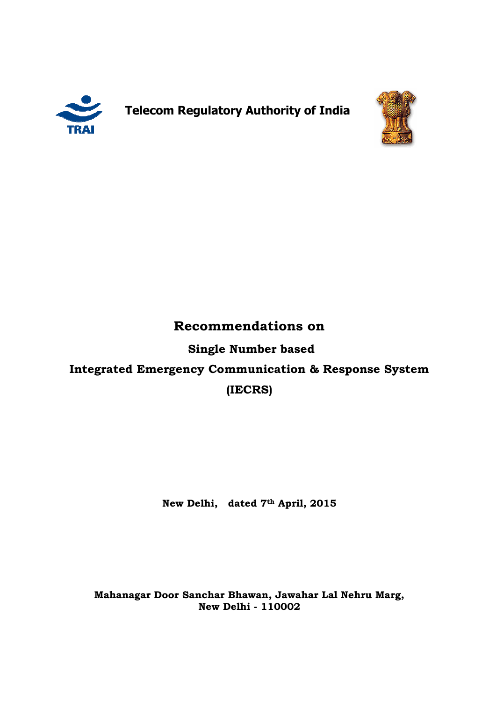

**Telecom Regulatory Regulatory Authority of India**



# **Recommendations on**

**Integrated Emergency Communication & Response System Integrated (IECRS) Single Number based** 

**New Delhi, New Delhi, dated 7th April, 2015** 

**Mahanagar Door Sanchar Bhawan, Jawahar Lal Nehru Marg, Marg, New Delhi - 110002**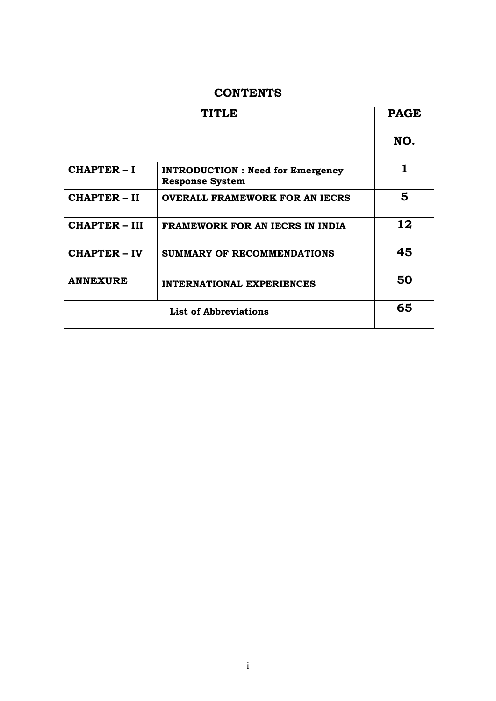## **CONTENTS**

| <b>TITLE</b>                 |                                                                    | <b>PAGE</b> |
|------------------------------|--------------------------------------------------------------------|-------------|
|                              |                                                                    | NO.         |
| <b>CHAPTER-I</b>             | <b>INTRODUCTION : Need for Emergency</b><br><b>Response System</b> | 1           |
| <b>CHAPTER - II</b>          | <b>OVERALL FRAMEWORK FOR AN IECRS</b>                              | 5           |
| <b>CHAPTER – III</b>         | <b>FRAMEWORK FOR AN IECRS IN INDIA</b>                             | 12          |
| <b>CHAPTER - IV</b>          | SUMMARY OF RECOMMENDATIONS                                         | 45          |
| <b>ANNEXURE</b>              | <b>INTERNATIONAL EXPERIENCES</b>                                   | 50          |
| <b>List of Abbreviations</b> |                                                                    | 65          |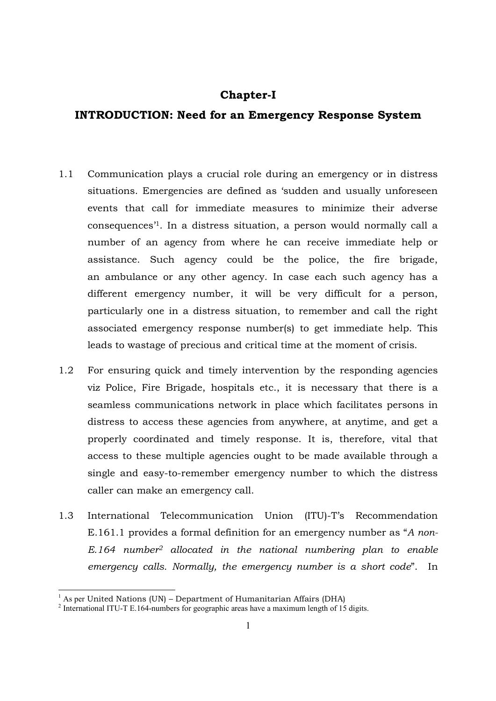## **Chapter-I**

## **INTRODUCTION: Need for an Emergency Response System**

- 1.1 Communication plays a crucial role during an emergency or in distress situations. Emergencies are defined as 'sudden and usually unforeseen events that call for immediate measures to minimize their adverse consequences'<sup>1</sup>. In a distress situation, a person would normally call a number of an agency from where he can receive immediate help or assistance. Such agency could be the police, the fire brigade, an ambulance or any other agency. In case each such agency has a different emergency number, it will be very difficult for a person, particularly one in a distress situation, to remember and call the right associated emergency response number(s) to get immediate help. This leads to wastage of precious and critical time at the moment of crisis.
- 1.2 For ensuring quick and timely intervention by the responding agencies viz Police, Fire Brigade, hospitals etc., it is necessary that there is a seamless communications network in place which facilitates persons in distress to access these agencies from anywhere, at anytime, and get a properly coordinated and timely response. It is, therefore, vital that access to these multiple agencies ought to be made available through a single and easy-to-remember emergency number to which the distress caller can make an emergency call.
- 1.3 International Telecommunication Union (ITU)-T's Recommendation E.161.1 provides a formal definition for an emergency number as "*A non-E.164 number<sup>2</sup> allocated in the national numbering plan to enable emergency calls. Normally, the emergency number is a short code*". In

 1 As per United Nations (UN) – Department of Humanitarian Affairs (DHA)

<sup>&</sup>lt;sup>2</sup> International ITU-T E.164-numbers for geographic areas have a maximum length of 15 digits.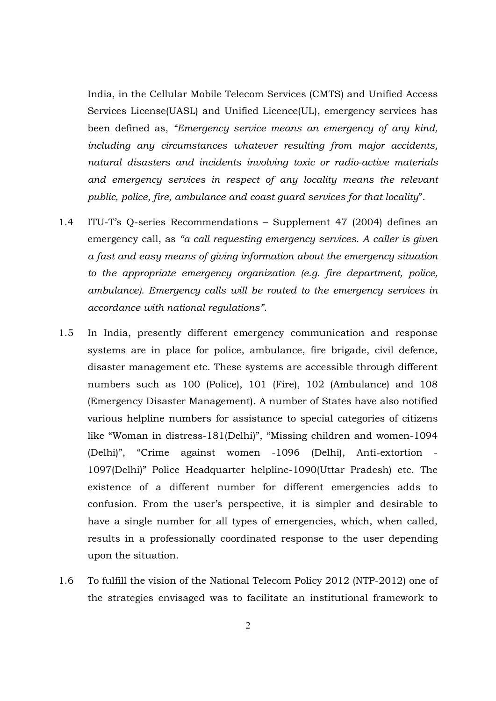India, in the Cellular Mobile Telecom Services (CMTS) and Unified Access Services License(UASL) and Unified Licence(UL), emergency services has been defined as*, "Emergency service means an emergency of any kind, including any circumstances whatever resulting from major accidents, natural disasters and incidents involving toxic or radio-active materials and emergency services in respect of any locality means the relevant public, police, fire, ambulance and coast guard services for that locality*".

- 1.4 ITU-T's Q-series Recommendations Supplement 47 (2004) defines an emergency call, as *"a call requesting emergency services. A caller is given a fast and easy means of giving information about the emergency situation to the appropriate emergency organization (e.g. fire department, police, ambulance). Emergency calls will be routed to the emergency services in accordance with national regulations"*.
- 1.5 In India, presently different emergency communication and response systems are in place for police, ambulance, fire brigade, civil defence, disaster management etc. These systems are accessible through different numbers such as 100 (Police), 101 (Fire), 102 (Ambulance) and 108 (Emergency Disaster Management). A number of States have also notified various helpline numbers for assistance to special categories of citizens like "Woman in distress-181(Delhi)", "Missing children and women-1094 (Delhi)", "Crime against women -1096 (Delhi), Anti-extortion - 1097(Delhi)" Police Headquarter helpline-1090(Uttar Pradesh) etc. The existence of a different number for different emergencies adds to confusion. From the user's perspective, it is simpler and desirable to have a single number for all types of emergencies, which, when called, results in a professionally coordinated response to the user depending upon the situation.
- 1.6 To fulfill the vision of the National Telecom Policy 2012 (NTP-2012) one of the strategies envisaged was to facilitate an institutional framework to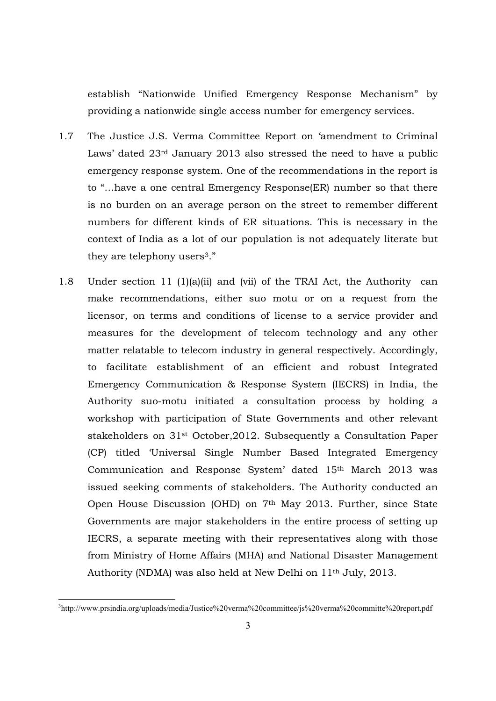establish "Nationwide Unified Emergency Response Mechanism" by providing a nationwide single access number for emergency services.

- 1.7 The Justice J.S. Verma Committee Report on 'amendment to Criminal Laws' dated 23rd January 2013 also stressed the need to have a public emergency response system. One of the recommendations in the report is to "…have a one central Emergency Response(ER) number so that there is no burden on an average person on the street to remember different numbers for different kinds of ER situations. This is necessary in the context of India as a lot of our population is not adequately literate but they are telephony users<sup>3</sup>."
- 1.8 Under section 11 (1)(a)(ii) and (vii) of the TRAI Act, the Authority can make recommendations, either suo motu or on a request from the licensor, on terms and conditions of license to a service provider and measures for the development of telecom technology and any other matter relatable to telecom industry in general respectively. Accordingly, to facilitate establishment of an efficient and robust Integrated Emergency Communication & Response System (IECRS) in India, the Authority suo-motu initiated a consultation process by holding a workshop with participation of State Governments and other relevant stakeholders on 31st October,2012. Subsequently a Consultation Paper (CP) titled 'Universal Single Number Based Integrated Emergency Communication and Response System' dated 15th March 2013 was issued seeking comments of stakeholders. The Authority conducted an Open House Discussion (OHD) on 7th May 2013. Further, since State Governments are major stakeholders in the entire process of setting up IECRS, a separate meeting with their representatives along with those from Ministry of Home Affairs (MHA) and National Disaster Management Authority (NDMA) was also held at New Delhi on 11th July, 2013.

<sup>&</sup>lt;sup>3</sup>http://www.prsindia.org/uploads/media/Justice%20verma%20committee/js%20verma%20committe%20report.pdf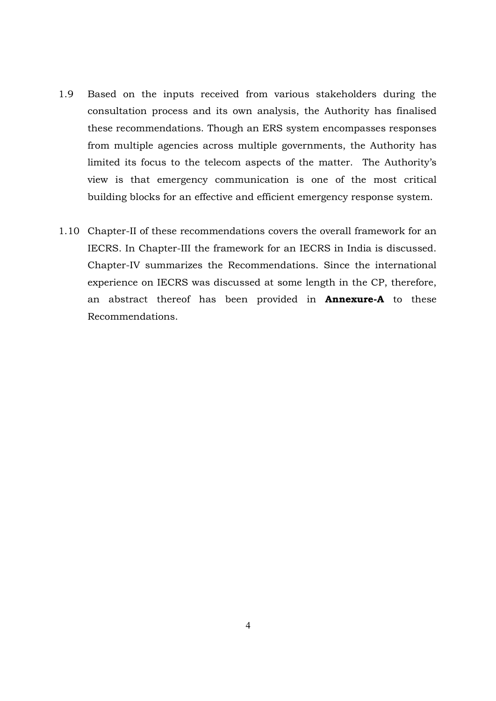- 1.9 Based on the inputs received from various stakeholders during the consultation process and its own analysis, the Authority has finalised these recommendations. Though an ERS system encompasses responses from multiple agencies across multiple governments, the Authority has limited its focus to the telecom aspects of the matter. The Authority's view is that emergency communication is one of the most critical building blocks for an effective and efficient emergency response system.
- 1.10 Chapter-II of these recommendations covers the overall framework for an IECRS. In Chapter-III the framework for an IECRS in India is discussed. Chapter-IV summarizes the Recommendations. Since the international experience on IECRS was discussed at some length in the CP, therefore, an abstract thereof has been provided in **Annexure-A** to these Recommendations.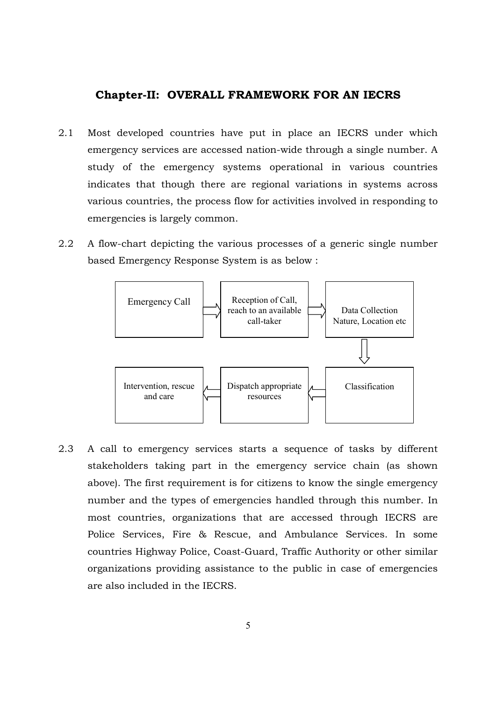## **Chapter-II: OVERALL FRAMEWORK FOR AN IECRS**

- 2.1 Most developed countries have put in place an IECRS under which emergency services are accessed nation-wide through a single number. A study of the emergency systems operational in various countries indicates that though there are regional variations in systems across various countries, the process flow for activities involved in responding to emergencies is largely common.
- 2.2 A flow-chart depicting the various processes of a generic single number based Emergency Response System is as below :



2.3 A call to emergency services starts a sequence of tasks by different stakeholders taking part in the emergency service chain (as shown above). The first requirement is for citizens to know the single emergency number and the types of emergencies handled through this number. In most countries, organizations that are accessed through IECRS are Police Services, Fire & Rescue, and Ambulance Services. In some countries Highway Police, Coast-Guard, Traffic Authority or other similar organizations providing assistance to the public in case of emergencies are also included in the IECRS.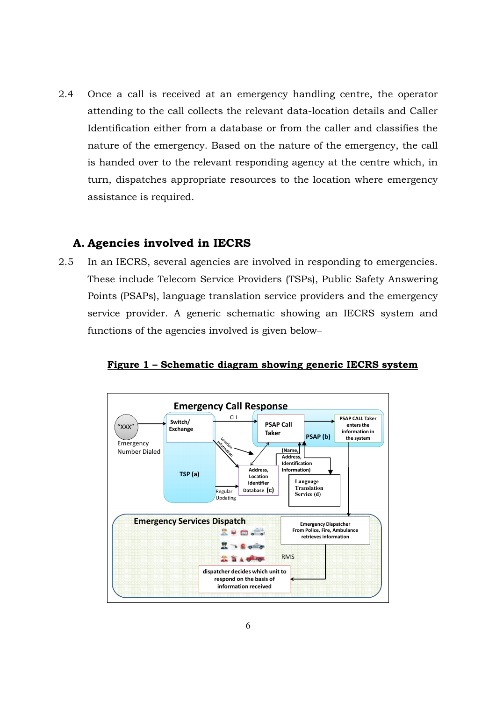2.4 Once a call is received at an emergency handling centre, the operator attending to the call collects the relevant data-location details and Caller Identification either from a database or from the caller and classifies the nature of the emergency. Based on the nature of the emergency, the call is handed over to the relevant responding agency at the centre which, in turn, dispatches appropriate resources to the location where emergency assistance is required.

## **A. Agencies involved in IECRS**

2.5 In an IECRS, several agencies are involved in responding to emergencies. These include Telecom Service Providers (TSPs), Public Safety Answering Points (PSAPs), language translation service providers and the emergency service provider. A generic schematic showing an IECRS system and functions of the agencies involved is given below–



**Figure 1 – Schematic diagram showing generic IECRS system**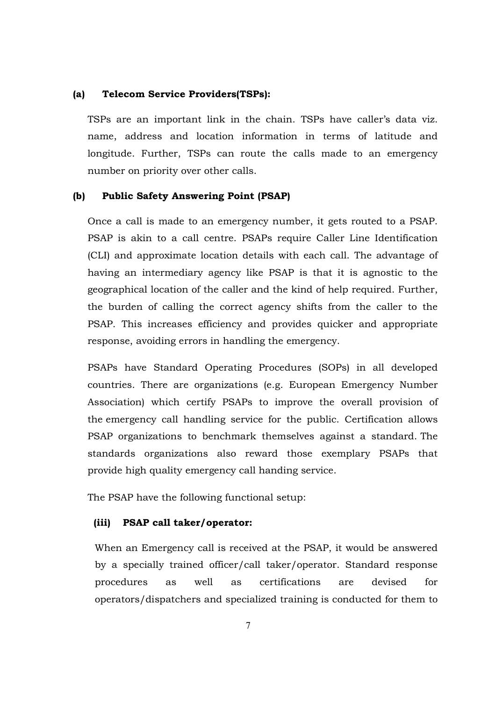#### **(a) Telecom Service Providers(TSPs):**

TSPs are an important link in the chain. TSPs have caller's data viz. name, address and location information in terms of latitude and longitude. Further, TSPs can route the calls made to an emergency number on priority over other calls.

#### **(b) Public Safety Answering Point (PSAP)**

Once a call is made to an emergency number, it gets routed to a PSAP. PSAP is akin to a call centre. PSAPs require Caller Line Identification (CLI) and approximate location details with each call. The advantage of having an intermediary agency like PSAP is that it is agnostic to the geographical location of the caller and the kind of help required. Further, the burden of calling the correct agency shifts from the caller to the PSAP. This increases efficiency and provides quicker and appropriate response, avoiding errors in handling the emergency.

PSAPs have Standard Operating Procedures (SOPs) in all developed countries. There are organizations (e.g. European Emergency Number Association) which certify PSAPs to improve the overall provision of the emergency call handling service for the public. Certification allows PSAP organizations to benchmark themselves against a standard. The standards organizations also reward those exemplary PSAPs that provide high quality emergency call handing service.

The PSAP have the following functional setup:

#### **(iii) PSAP call taker/operator:**

When an Emergency call is received at the PSAP, it would be answered by a specially trained officer/call taker/operator. Standard response procedures as well as certifications are devised for operators/dispatchers and specialized training is conducted for them to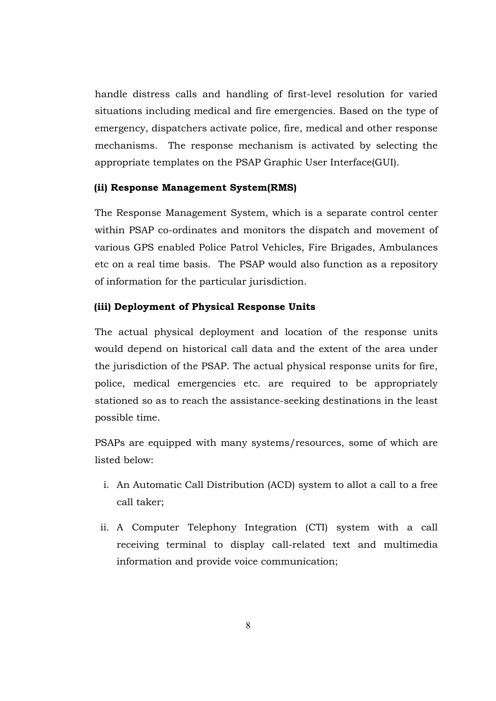handle distress calls and handling of first-level resolution for varied situations including medical and fire emergencies. Based on the type of emergency, dispatchers activate police, fire, medical and other response mechanisms. The response mechanism is activated by selecting the appropriate templates on the PSAP Graphic User Interface(GUI).

## **(ii) Response Management System(RMS)**

The Response Management System, which is a separate control center within PSAP co-ordinates and monitors the dispatch and movement of various GPS enabled Police Patrol Vehicles, Fire Brigades, Ambulances etc on a real time basis. The PSAP would also function as a repository of information for the particular jurisdiction.

## **(iii) Deployment of Physical Response Units**

The actual physical deployment and location of the response units would depend on historical call data and the extent of the area under the jurisdiction of the PSAP. The actual physical response units for fire, police, medical emergencies etc. are required to be appropriately stationed so as to reach the assistance-seeking destinations in the least possible time.

PSAPs are equipped with many systems/resources, some of which are listed below:

- i. An Automatic Call Distribution (ACD) system to allot a call to a free call taker;
- ii. A Computer Telephony Integration (CTI) system with a call receiving terminal to display call-related text and multimedia information and provide voice communication;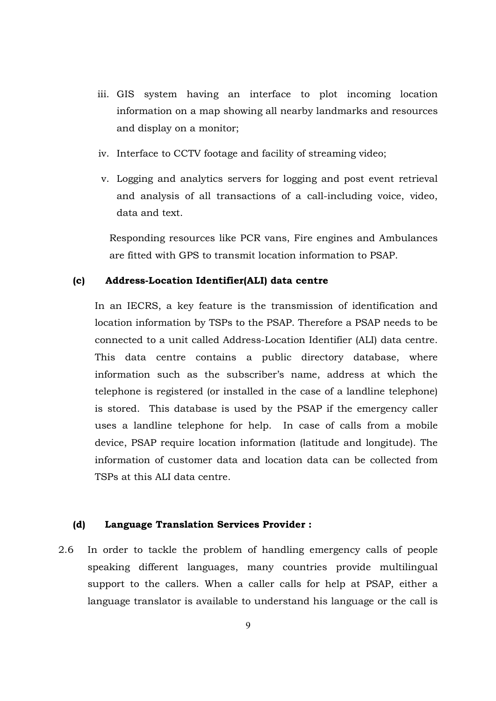- iii. GIS system having an interface to plot incoming location information on a map showing all nearby landmarks and resources and display on a monitor;
- iv. Interface to CCTV footage and facility of streaming video;
- v. Logging and analytics servers for logging and post event retrieval and analysis of all transactions of a call-including voice, video, data and text.

Responding resources like PCR vans, Fire engines and Ambulances are fitted with GPS to transmit location information to PSAP.

#### **(c) Address-Location Identifier(ALI) data centre**

In an IECRS, a key feature is the transmission of identification and location information by TSPs to the PSAP. Therefore a PSAP needs to be connected to a unit called Address-Location Identifier (ALI) data centre. This data centre contains a public directory database, where information such as the subscriber's name, address at which the telephone is registered (or installed in the case of a landline telephone) is stored. This database is used by the PSAP if the emergency caller uses a landline telephone for help. In case of calls from a mobile device, PSAP require location information (latitude and longitude). The information of customer data and location data can be collected from TSPs at this ALI data centre.

#### **(d) Language Translation Services Provider :**

2.6 In order to tackle the problem of handling emergency calls of people speaking different languages, many countries provide multilingual support to the callers. When a caller calls for help at PSAP, either a language translator is available to understand his language or the call is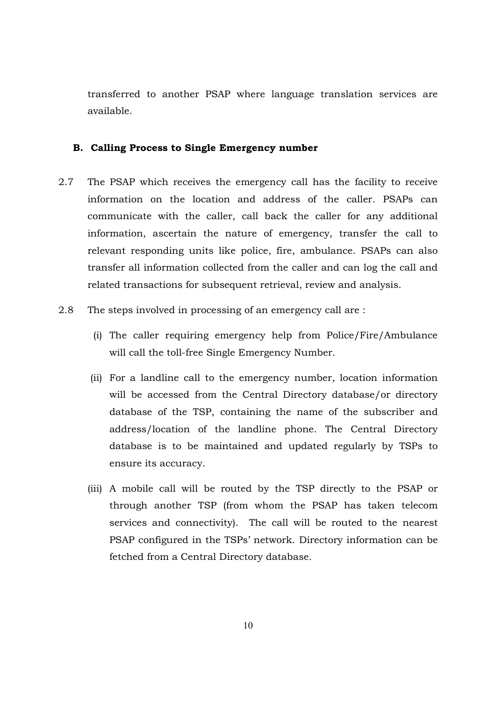transferred to another PSAP where language translation services are available.

#### **B. Calling Process to Single Emergency number**

- 2.7 The PSAP which receives the emergency call has the facility to receive information on the location and address of the caller. PSAPs can communicate with the caller, call back the caller for any additional information, ascertain the nature of emergency, transfer the call to relevant responding units like police, fire, ambulance. PSAPs can also transfer all information collected from the caller and can log the call and related transactions for subsequent retrieval, review and analysis.
- 2.8 The steps involved in processing of an emergency call are :
	- (i) The caller requiring emergency help from Police/Fire/Ambulance will call the toll-free Single Emergency Number.
	- (ii) For a landline call to the emergency number, location information will be accessed from the Central Directory database/or directory database of the TSP, containing the name of the subscriber and address/location of the landline phone. The Central Directory database is to be maintained and updated regularly by TSPs to ensure its accuracy.
	- (iii) A mobile call will be routed by the TSP directly to the PSAP or through another TSP (from whom the PSAP has taken telecom services and connectivity). The call will be routed to the nearest PSAP configured in the TSPs' network. Directory information can be fetched from a Central Directory database.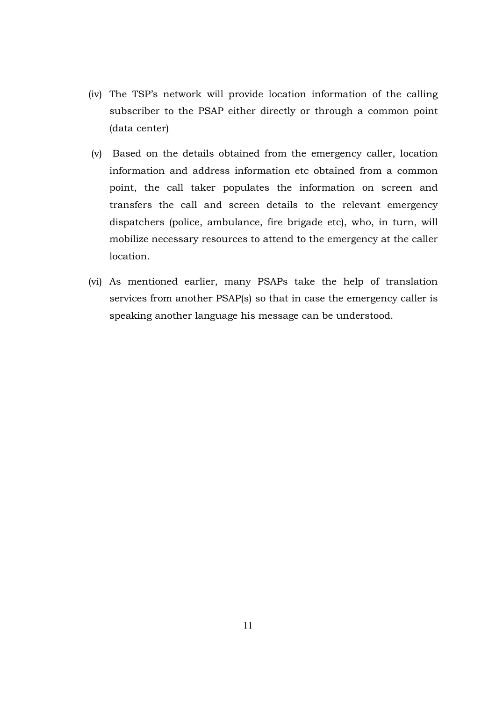- (iv) The TSP's network will provide location information of the calling subscriber to the PSAP either directly or through a common point (data center)
- (v) Based on the details obtained from the emergency caller, location information and address information etc obtained from a common point, the call taker populates the information on screen and transfers the call and screen details to the relevant emergency dispatchers (police, ambulance, fire brigade etc), who, in turn, will mobilize necessary resources to attend to the emergency at the caller location.
- (vi) As mentioned earlier, many PSAPs take the help of translation services from another PSAP(s) so that in case the emergency caller is speaking another language his message can be understood.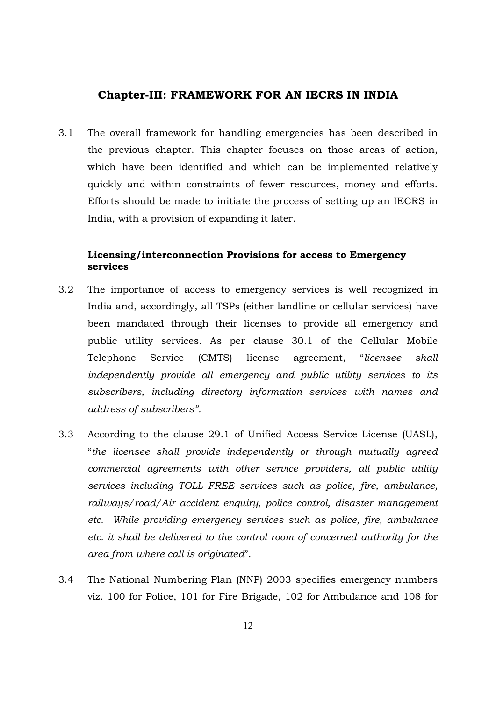## **Chapter-III: FRAMEWORK FOR AN IECRS IN INDIA**

3.1 The overall framework for handling emergencies has been described in the previous chapter. This chapter focuses on those areas of action, which have been identified and which can be implemented relatively quickly and within constraints of fewer resources, money and efforts. Efforts should be made to initiate the process of setting up an IECRS in India, with a provision of expanding it later.

## **Licensing/interconnection Provisions for access to Emergency services**

- 3.2 The importance of access to emergency services is well recognized in India and, accordingly, all TSPs (either landline or cellular services) have been mandated through their licenses to provide all emergency and public utility services. As per clause 30.1 of the Cellular Mobile Telephone Service (CMTS) license agreement, "*licensee shall independently provide all emergency and public utility services to its subscribers, including directory information services with names and address of subscribers".*
- 3.3 According to the clause 29.1 of Unified Access Service License (UASL), "*the licensee shall provide independently or through mutually agreed commercial agreements with other service providers, all public utility services including TOLL FREE services such as police, fire, ambulance, railways/road/Air accident enquiry, police control, disaster management etc. While providing emergency services such as police, fire, ambulance etc. it shall be delivered to the control room of concerned authority for the area from where call is originated*".
- 3.4 The National Numbering Plan (NNP) 2003 specifies emergency numbers viz. 100 for Police, 101 for Fire Brigade, 102 for Ambulance and 108 for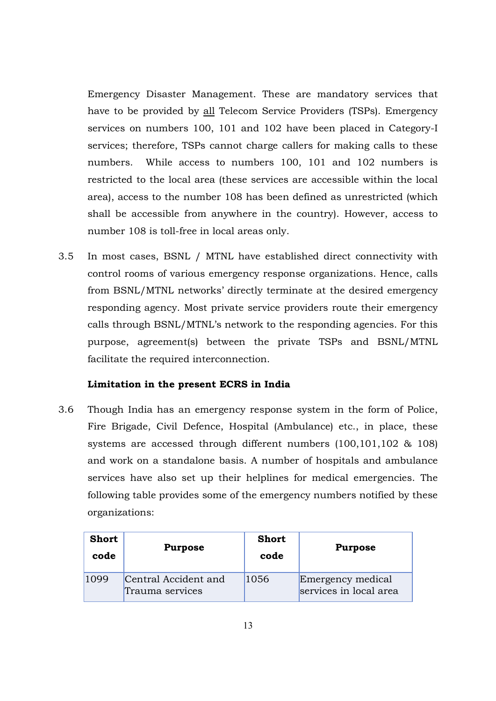Emergency Disaster Management. These are mandatory services that have to be provided by all Telecom Service Providers (TSPs). Emergency services on numbers 100, 101 and 102 have been placed in Category-I services; therefore, TSPs cannot charge callers for making calls to these numbers. While access to numbers 100, 101 and 102 numbers is restricted to the local area (these services are accessible within the local area), access to the number 108 has been defined as unrestricted (which shall be accessible from anywhere in the country). However, access to number 108 is toll-free in local areas only.

3.5 In most cases, BSNL / MTNL have established direct connectivity with control rooms of various emergency response organizations. Hence, calls from BSNL/MTNL networks' directly terminate at the desired emergency responding agency. Most private service providers route their emergency calls through BSNL/MTNL's network to the responding agencies. For this purpose, agreement(s) between the private TSPs and BSNL/MTNL facilitate the required interconnection.

## **Limitation in the present ECRS in India**

3.6 Though India has an emergency response system in the form of Police, Fire Brigade, Civil Defence, Hospital (Ambulance) etc., in place, these systems are accessed through different numbers (100,101,102 & 108) and work on a standalone basis. A number of hospitals and ambulance services have also set up their helplines for medical emergencies. The following table provides some of the emergency numbers notified by these organizations:

| <b>Short</b><br>code | <b>Purpose</b>                          | <b>Short</b><br>code | <b>Purpose</b>                              |
|----------------------|-----------------------------------------|----------------------|---------------------------------------------|
| 1099                 | Central Accident and<br>Trauma services | 1056                 | Emergency medical<br>services in local area |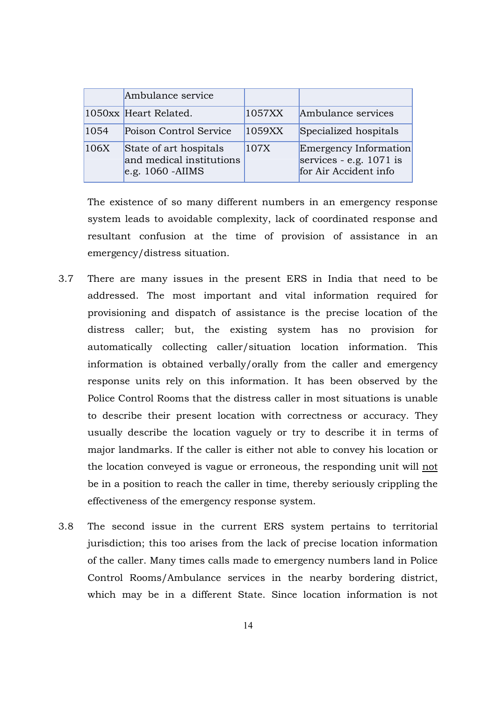|      | Ambulance service                                                         |        |                                                                             |
|------|---------------------------------------------------------------------------|--------|-----------------------------------------------------------------------------|
|      | 1050xx Heart Related.                                                     | 1057XX | Ambulance services                                                          |
| 1054 | Poison Control Service                                                    | 1059XX | Specialized hospitals                                                       |
| 106X | State of art hospitals<br>and medical institutions<br>$e.g. 1060 - AIIMS$ | 107X   | Emergency Information<br>services - e.g. $1071$ is<br>for Air Accident info |

The existence of so many different numbers in an emergency response system leads to avoidable complexity, lack of coordinated response and resultant confusion at the time of provision of assistance in an emergency/distress situation.

- 3.7 There are many issues in the present ERS in India that need to be addressed. The most important and vital information required for provisioning and dispatch of assistance is the precise location of the distress caller; but, the existing system has no provision for automatically collecting caller/situation location information. This information is obtained verbally/orally from the caller and emergency response units rely on this information. It has been observed by the Police Control Rooms that the distress caller in most situations is unable to describe their present location with correctness or accuracy. They usually describe the location vaguely or try to describe it in terms of major landmarks. If the caller is either not able to convey his location or the location conveyed is vague or erroneous, the responding unit will not be in a position to reach the caller in time, thereby seriously crippling the effectiveness of the emergency response system.
- 3.8 The second issue in the current ERS system pertains to territorial jurisdiction; this too arises from the lack of precise location information of the caller. Many times calls made to emergency numbers land in Police Control Rooms/Ambulance services in the nearby bordering district, which may be in a different State. Since location information is not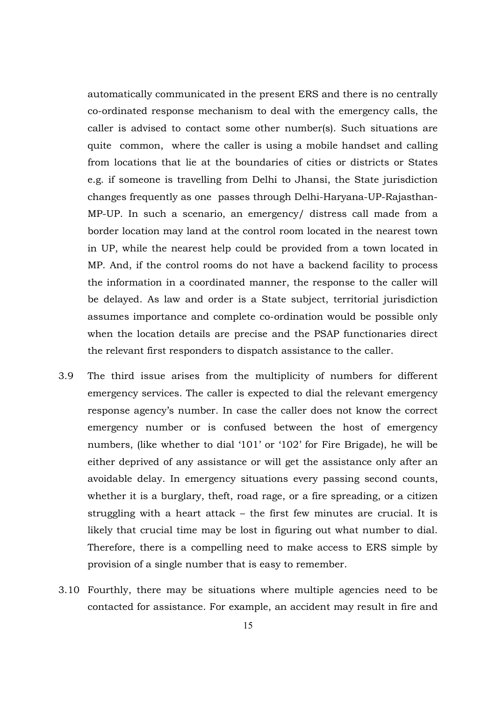automatically communicated in the present ERS and there is no centrally co-ordinated response mechanism to deal with the emergency calls, the caller is advised to contact some other number(s). Such situations are quite common, where the caller is using a mobile handset and calling from locations that lie at the boundaries of cities or districts or States e.g. if someone is travelling from Delhi to Jhansi, the State jurisdiction changes frequently as one passes through Delhi-Haryana-UP-Rajasthan-MP-UP. In such a scenario, an emergency/ distress call made from a border location may land at the control room located in the nearest town in UP, while the nearest help could be provided from a town located in MP. And, if the control rooms do not have a backend facility to process the information in a coordinated manner, the response to the caller will be delayed. As law and order is a State subject, territorial jurisdiction assumes importance and complete co-ordination would be possible only when the location details are precise and the PSAP functionaries direct the relevant first responders to dispatch assistance to the caller.

- 3.9 The third issue arises from the multiplicity of numbers for different emergency services. The caller is expected to dial the relevant emergency response agency's number. In case the caller does not know the correct emergency number or is confused between the host of emergency numbers, (like whether to dial '101' or '102' for Fire Brigade), he will be either deprived of any assistance or will get the assistance only after an avoidable delay. In emergency situations every passing second counts, whether it is a burglary, theft, road rage, or a fire spreading, or a citizen struggling with a heart attack – the first few minutes are crucial. It is likely that crucial time may be lost in figuring out what number to dial. Therefore, there is a compelling need to make access to ERS simple by provision of a single number that is easy to remember.
- 3.10 Fourthly, there may be situations where multiple agencies need to be contacted for assistance. For example, an accident may result in fire and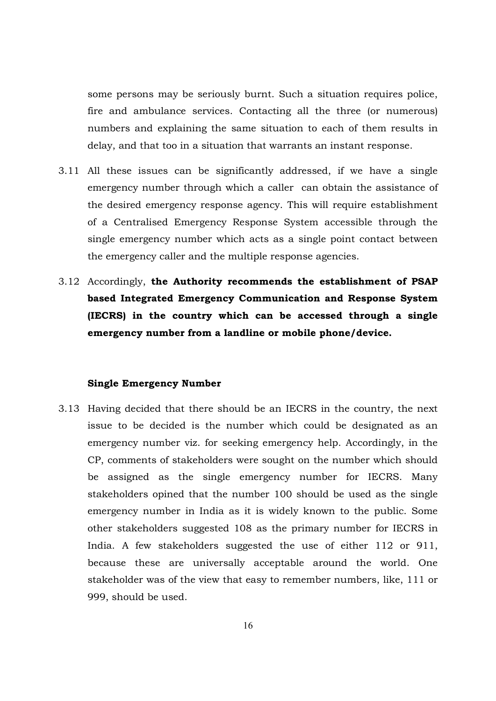some persons may be seriously burnt. Such a situation requires police, fire and ambulance services. Contacting all the three (or numerous) numbers and explaining the same situation to each of them results in delay, and that too in a situation that warrants an instant response.

- 3.11 All these issues can be significantly addressed, if we have a single emergency number through which a caller can obtain the assistance of the desired emergency response agency. This will require establishment of a Centralised Emergency Response System accessible through the single emergency number which acts as a single point contact between the emergency caller and the multiple response agencies.
- 3.12 Accordingly, **the Authority recommends the establishment of PSAP based Integrated Emergency Communication and Response System (IECRS) in the country which can be accessed through a single emergency number from a landline or mobile phone/device.**

#### **Single Emergency Number**

3.13 Having decided that there should be an IECRS in the country, the next issue to be decided is the number which could be designated as an emergency number viz. for seeking emergency help. Accordingly, in the CP, comments of stakeholders were sought on the number which should be assigned as the single emergency number for IECRS. Many stakeholders opined that the number 100 should be used as the single emergency number in India as it is widely known to the public. Some other stakeholders suggested 108 as the primary number for IECRS in India. A few stakeholders suggested the use of either 112 or 911, because these are universally acceptable around the world. One stakeholder was of the view that easy to remember numbers, like, 111 or 999, should be used.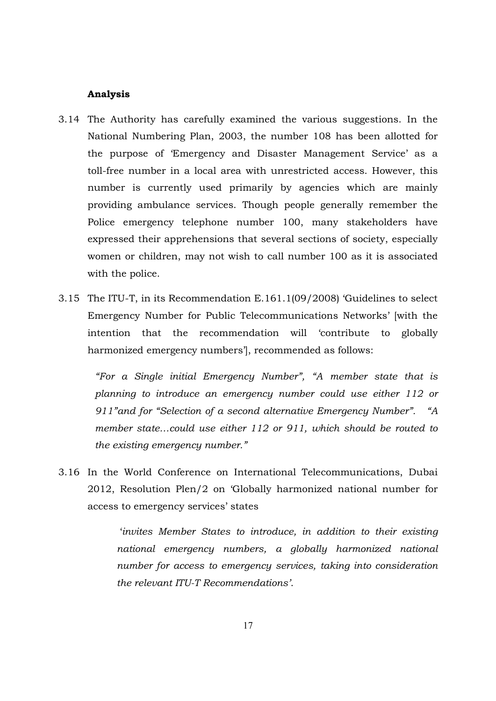#### **Analysis**

- 3.14 The Authority has carefully examined the various suggestions. In the National Numbering Plan, 2003, the number 108 has been allotted for the purpose of 'Emergency and Disaster Management Service' as a toll-free number in a local area with unrestricted access. However, this number is currently used primarily by agencies which are mainly providing ambulance services. Though people generally remember the Police emergency telephone number 100, many stakeholders have expressed their apprehensions that several sections of society, especially women or children, may not wish to call number 100 as it is associated with the police.
- 3.15 The ITU-T, in its Recommendation E.161.1(09/2008) 'Guidelines to select Emergency Number for Public Telecommunications Networks' [with the intention that the recommendation will 'contribute to globally harmonized emergency numbers'], recommended as follows:

*"For a Single initial Emergency Number", "A member state that is planning to introduce an emergency number could use either 112 or 911"and for "Selection of a second alternative Emergency Number". "A member state…could use either 112 or 911, which should be routed to the existing emergency number."* 

3.16 In the World Conference on International Telecommunications, Dubai 2012, Resolution Plen/2 on 'Globally harmonized national number for access to emergency services' states

> '*invites Member States to introduce, in addition to their existing national emergency numbers, a globally harmonized national number for access to emergency services, taking into consideration the relevant ITU-T Recommendations'*.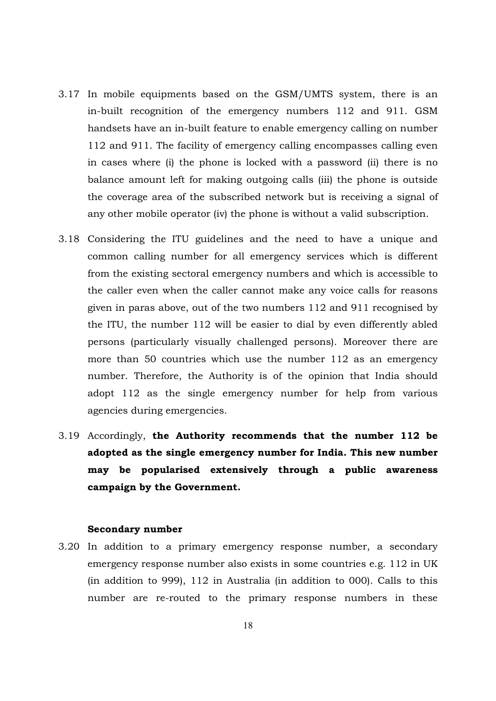- 3.17 In mobile equipments based on the GSM/UMTS system, there is an in-built recognition of the emergency numbers 112 and 911. GSM handsets have an in-built feature to enable emergency calling on number 112 and 911. The facility of emergency calling encompasses calling even in cases where (i) the phone is locked with a password (ii) there is no balance amount left for making outgoing calls (iii) the phone is outside the coverage area of the subscribed network but is receiving a signal of any other mobile operator (iv) the phone is without a valid subscription.
- 3.18 Considering the ITU guidelines and the need to have a unique and common calling number for all emergency services which is different from the existing sectoral emergency numbers and which is accessible to the caller even when the caller cannot make any voice calls for reasons given in paras above, out of the two numbers 112 and 911 recognised by the ITU, the number 112 will be easier to dial by even differently abled persons (particularly visually challenged persons). Moreover there are more than 50 countries which use the number 112 as an emergency number. Therefore, the Authority is of the opinion that India should adopt 112 as the single emergency number for help from various agencies during emergencies.
- 3.19 Accordingly, **the Authority recommends that the number 112 be adopted as the single emergency number for India. This new number may be popularised extensively through a public awareness campaign by the Government.**

#### **Secondary number**

3.20 In addition to a primary emergency response number, a secondary emergency response number also exists in some countries e.g. 112 in UK (in addition to 999), 112 in Australia (in addition to 000). Calls to this number are re-routed to the primary response numbers in these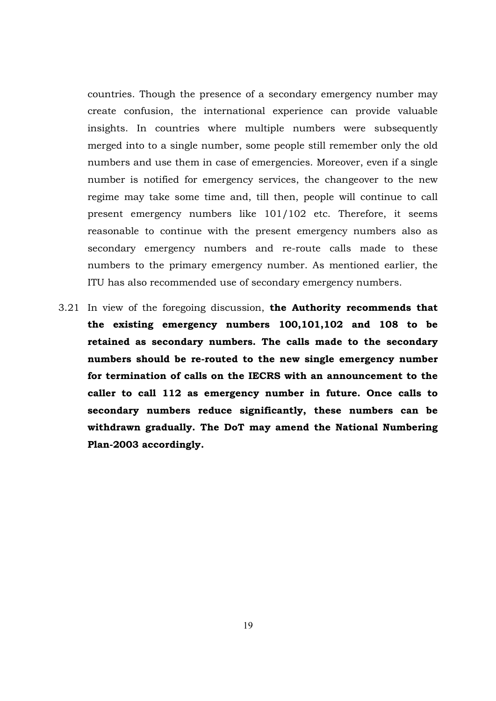countries. Though the presence of a secondary emergency number may create confusion, the international experience can provide valuable insights. In countries where multiple numbers were subsequently merged into to a single number, some people still remember only the old numbers and use them in case of emergencies. Moreover, even if a single number is notified for emergency services, the changeover to the new regime may take some time and, till then, people will continue to call present emergency numbers like 101/102 etc. Therefore, it seems reasonable to continue with the present emergency numbers also as secondary emergency numbers and re-route calls made to these numbers to the primary emergency number. As mentioned earlier, the ITU has also recommended use of secondary emergency numbers.

3.21 In view of the foregoing discussion, **the Authority recommends that the existing emergency numbers 100,101,102 and 108 to be retained as secondary numbers. The calls made to the secondary numbers should be re-routed to the new single emergency number for termination of calls on the IECRS with an announcement to the caller to call 112 as emergency number in future. Once calls to secondary numbers reduce significantly, these numbers can be withdrawn gradually. The DoT may amend the National Numbering Plan-2003 accordingly.**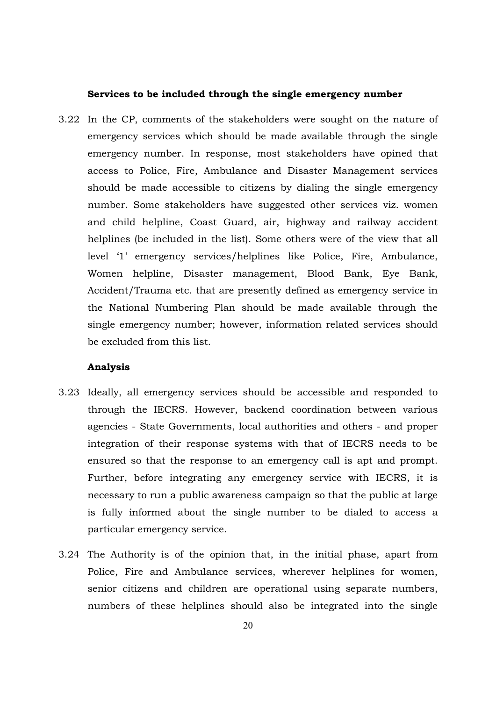#### **Services to be included through the single emergency number**

3.22 In the CP, comments of the stakeholders were sought on the nature of emergency services which should be made available through the single emergency number. In response, most stakeholders have opined that access to Police, Fire, Ambulance and Disaster Management services should be made accessible to citizens by dialing the single emergency number. Some stakeholders have suggested other services viz. women and child helpline, Coast Guard, air, highway and railway accident helplines (be included in the list). Some others were of the view that all level '1' emergency services/helplines like Police, Fire, Ambulance, Women helpline, Disaster management, Blood Bank, Eye Bank, Accident/Trauma etc. that are presently defined as emergency service in the National Numbering Plan should be made available through the single emergency number; however, information related services should be excluded from this list.

#### **Analysis**

- 3.23 Ideally, all emergency services should be accessible and responded to through the IECRS. However, backend coordination between various agencies - State Governments, local authorities and others - and proper integration of their response systems with that of IECRS needs to be ensured so that the response to an emergency call is apt and prompt. Further, before integrating any emergency service with IECRS, it is necessary to run a public awareness campaign so that the public at large is fully informed about the single number to be dialed to access a particular emergency service.
- 3.24 The Authority is of the opinion that, in the initial phase, apart from Police, Fire and Ambulance services, wherever helplines for women, senior citizens and children are operational using separate numbers, numbers of these helplines should also be integrated into the single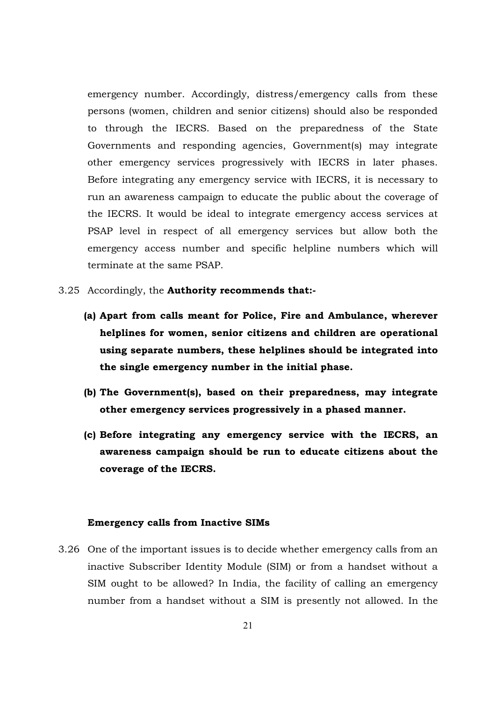emergency number. Accordingly, distress/emergency calls from these persons (women, children and senior citizens) should also be responded to through the IECRS. Based on the preparedness of the State Governments and responding agencies, Government(s) may integrate other emergency services progressively with IECRS in later phases. Before integrating any emergency service with IECRS, it is necessary to run an awareness campaign to educate the public about the coverage of the IECRS. It would be ideal to integrate emergency access services at PSAP level in respect of all emergency services but allow both the emergency access number and specific helpline numbers which will terminate at the same PSAP.

- 3.25 Accordingly, the **Authority recommends that:-**
	- **(a) Apart from calls meant for Police, Fire and Ambulance, wherever helplines for women, senior citizens and children are operational using separate numbers, these helplines should be integrated into the single emergency number in the initial phase.**
	- **(b) The Government(s), based on their preparedness, may integrate other emergency services progressively in a phased manner.**
	- **(c) Before integrating any emergency service with the IECRS, an awareness campaign should be run to educate citizens about the coverage of the IECRS.**

#### **Emergency calls from Inactive SIMs**

3.26 One of the important issues is to decide whether emergency calls from an inactive Subscriber Identity Module (SIM) or from a handset without a SIM ought to be allowed? In India, the facility of calling an emergency number from a handset without a SIM is presently not allowed. In the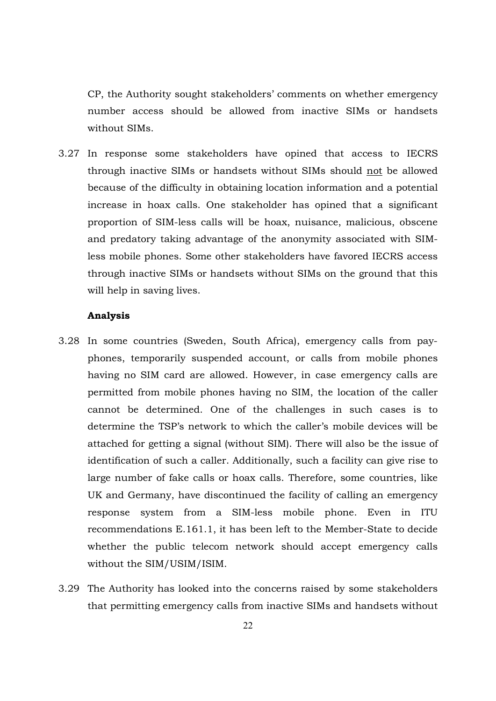CP, the Authority sought stakeholders' comments on whether emergency number access should be allowed from inactive SIMs or handsets without SIMs.

3.27 In response some stakeholders have opined that access to IECRS through inactive SIMs or handsets without SIMs should not be allowed because of the difficulty in obtaining location information and a potential increase in hoax calls. One stakeholder has opined that a significant proportion of SIM-less calls will be hoax, nuisance, malicious, obscene and predatory taking advantage of the anonymity associated with SIMless mobile phones. Some other stakeholders have favored IECRS access through inactive SIMs or handsets without SIMs on the ground that this will help in saving lives.

#### **Analysis**

- 3.28 In some countries (Sweden, South Africa), emergency calls from payphones, temporarily suspended account, or calls from mobile phones having no SIM card are allowed. However, in case emergency calls are permitted from mobile phones having no SIM, the location of the caller cannot be determined. One of the challenges in such cases is to determine the TSP's network to which the caller's mobile devices will be attached for getting a signal (without SIM). There will also be the issue of identification of such a caller. Additionally, such a facility can give rise to large number of fake calls or hoax calls. Therefore, some countries, like UK and Germany, have discontinued the facility of calling an emergency response system from a SIM-less mobile phone. Even in ITU recommendations E.161.1, it has been left to the Member-State to decide whether the public telecom network should accept emergency calls without the SIM/USIM/ISIM.
- 3.29 The Authority has looked into the concerns raised by some stakeholders that permitting emergency calls from inactive SIMs and handsets without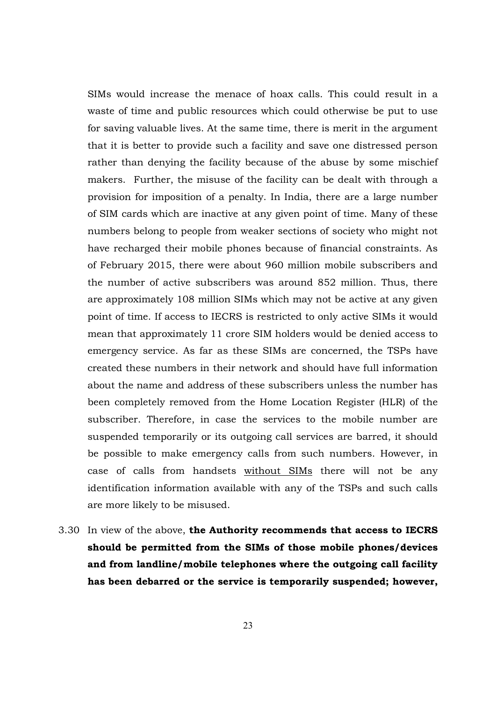SIMs would increase the menace of hoax calls. This could result in a waste of time and public resources which could otherwise be put to use for saving valuable lives. At the same time, there is merit in the argument that it is better to provide such a facility and save one distressed person rather than denying the facility because of the abuse by some mischief makers. Further, the misuse of the facility can be dealt with through a provision for imposition of a penalty. In India, there are a large number of SIM cards which are inactive at any given point of time. Many of these numbers belong to people from weaker sections of society who might not have recharged their mobile phones because of financial constraints. As of February 2015, there were about 960 million mobile subscribers and the number of active subscribers was around 852 million. Thus, there are approximately 108 million SIMs which may not be active at any given point of time. If access to IECRS is restricted to only active SIMs it would mean that approximately 11 crore SIM holders would be denied access to emergency service. As far as these SIMs are concerned, the TSPs have created these numbers in their network and should have full information about the name and address of these subscribers unless the number has been completely removed from the Home Location Register (HLR) of the subscriber. Therefore, in case the services to the mobile number are suspended temporarily or its outgoing call services are barred, it should be possible to make emergency calls from such numbers. However, in case of calls from handsets without SIMs there will not be any identification information available with any of the TSPs and such calls are more likely to be misused.

3.30 In view of the above, **the Authority recommends that access to IECRS should be permitted from the SIMs of those mobile phones/devices and from landline/mobile telephones where the outgoing call facility has been debarred or the service is temporarily suspended; however,**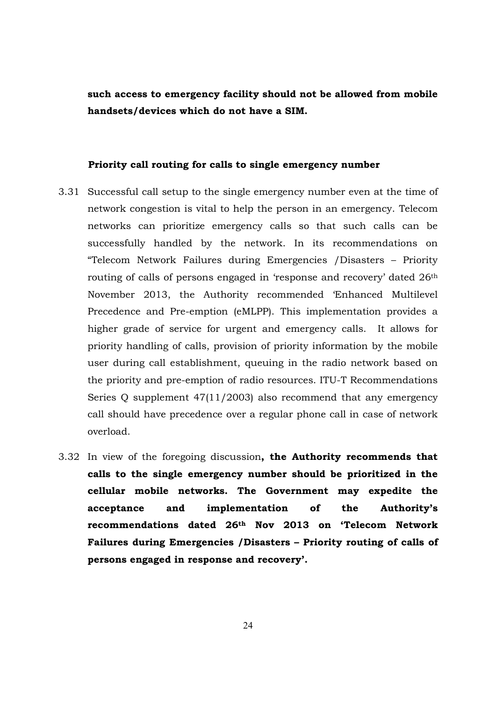**such access to emergency facility should not be allowed from mobile handsets/devices which do not have a SIM.** 

#### **Priority call routing for calls to single emergency number**

- 3.31 Successful call setup to the single emergency number even at the time of network congestion is vital to help the person in an emergency. Telecom networks can prioritize emergency calls so that such calls can be successfully handled by the network. In its recommendations on "Telecom Network Failures during Emergencies /Disasters – Priority routing of calls of persons engaged in 'response and recovery' dated 26<sup>th</sup> November 2013, the Authority recommended 'Enhanced Multilevel Precedence and Pre-emption (eMLPP). This implementation provides a higher grade of service for urgent and emergency calls. It allows for priority handling of calls, provision of priority information by the mobile user during call establishment, queuing in the radio network based on the priority and pre-emption of radio resources. ITU-T Recommendations Series Q supplement 47(11/2003) also recommend that any emergency call should have precedence over a regular phone call in case of network overload.
- 3.32 In view of the foregoing discussion**, the Authority recommends that calls to the single emergency number should be prioritized in the cellular mobile networks. The Government may expedite the acceptance and implementation of the Authority's recommendations dated 26th Nov 2013 on 'Telecom Network Failures during Emergencies /Disasters – Priority routing of calls of persons engaged in response and recovery'.**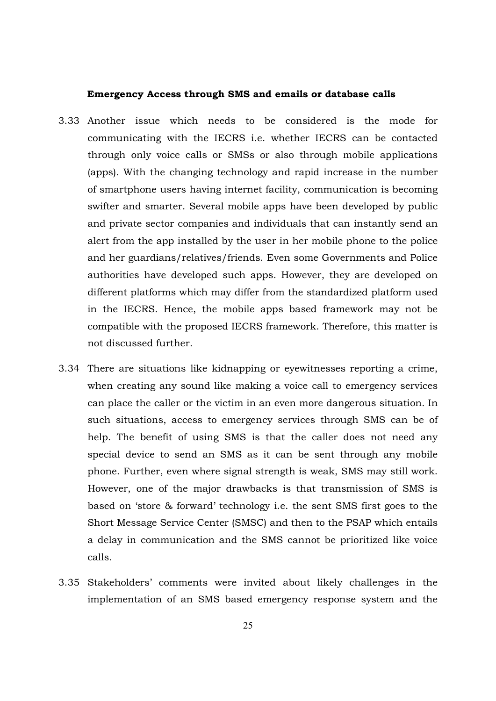#### **Emergency Access through SMS and emails or database calls**

- 3.33 Another issue which needs to be considered is the mode for communicating with the IECRS i.e. whether IECRS can be contacted through only voice calls or SMSs or also through mobile applications (apps). With the changing technology and rapid increase in the number of smartphone users having internet facility, communication is becoming swifter and smarter. Several mobile apps have been developed by public and private sector companies and individuals that can instantly send an alert from the app installed by the user in her mobile phone to the police and her guardians/relatives/friends. Even some Governments and Police authorities have developed such apps. However, they are developed on different platforms which may differ from the standardized platform used in the IECRS. Hence, the mobile apps based framework may not be compatible with the proposed IECRS framework. Therefore, this matter is not discussed further.
- 3.34 There are situations like kidnapping or eyewitnesses reporting a crime, when creating any sound like making a voice call to emergency services can place the caller or the victim in an even more dangerous situation. In such situations, access to emergency services through SMS can be of help. The benefit of using SMS is that the caller does not need any special device to send an SMS as it can be sent through any mobile phone. Further, even where signal strength is weak, SMS may still work. However, one of the major drawbacks is that transmission of SMS is based on 'store & forward' technology i.e. the sent SMS first goes to the Short Message Service Center (SMSC) and then to the PSAP which entails a delay in communication and the SMS cannot be prioritized like voice calls.
- 3.35 Stakeholders' comments were invited about likely challenges in the implementation of an SMS based emergency response system and the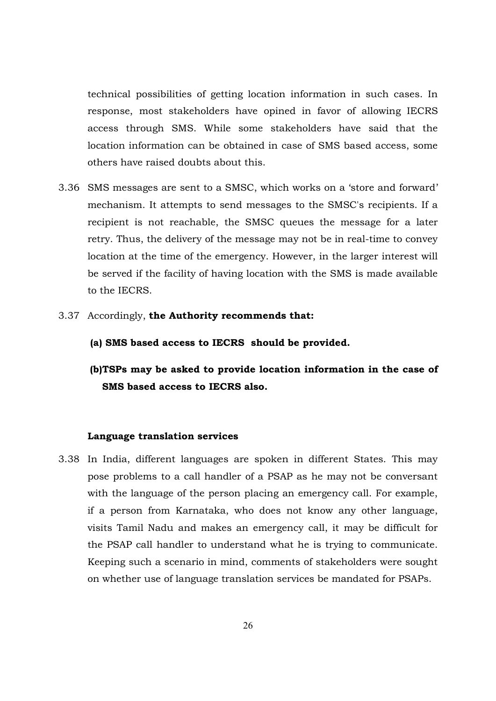technical possibilities of getting location information in such cases. In response, most stakeholders have opined in favor of allowing IECRS access through SMS. While some stakeholders have said that the location information can be obtained in case of SMS based access, some others have raised doubts about this.

- 3.36 SMS messages are sent to a SMSC, which works on a 'store and forward' mechanism. It attempts to send messages to the SMSC's recipients. If a recipient is not reachable, the SMSC queues the message for a later retry. Thus, the delivery of the message may not be in real-time to convey location at the time of the emergency. However, in the larger interest will be served if the facility of having location with the SMS is made available to the IECRS.
- 3.37 Accordingly, **the Authority recommends that:** 
	- **(a) SMS based access to IECRS should be provided.**
	- **(b)TSPs may be asked to provide location information in the case of SMS based access to IECRS also.**

#### **Language translation services**

3.38 In India, different languages are spoken in different States. This may pose problems to a call handler of a PSAP as he may not be conversant with the language of the person placing an emergency call. For example, if a person from Karnataka, who does not know any other language, visits Tamil Nadu and makes an emergency call, it may be difficult for the PSAP call handler to understand what he is trying to communicate. Keeping such a scenario in mind, comments of stakeholders were sought on whether use of language translation services be mandated for PSAPs.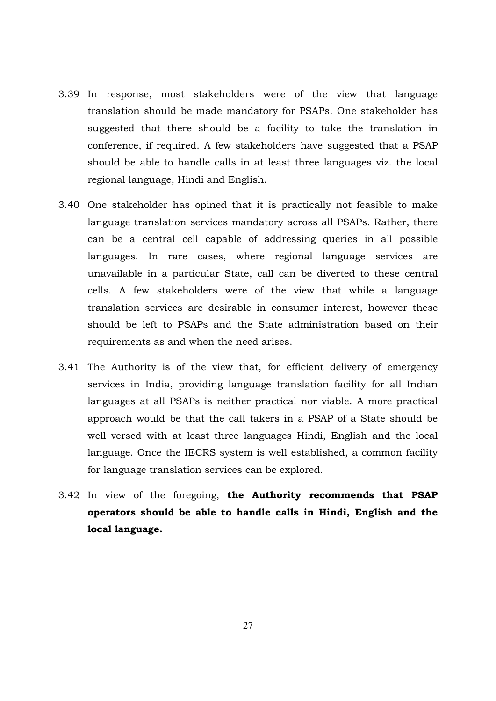- 3.39 In response, most stakeholders were of the view that language translation should be made mandatory for PSAPs. One stakeholder has suggested that there should be a facility to take the translation in conference, if required. A few stakeholders have suggested that a PSAP should be able to handle calls in at least three languages viz. the local regional language, Hindi and English.
- 3.40 One stakeholder has opined that it is practically not feasible to make language translation services mandatory across all PSAPs. Rather, there can be a central cell capable of addressing queries in all possible languages. In rare cases, where regional language services are unavailable in a particular State, call can be diverted to these central cells. A few stakeholders were of the view that while a language translation services are desirable in consumer interest, however these should be left to PSAPs and the State administration based on their requirements as and when the need arises.
- 3.41 The Authority is of the view that, for efficient delivery of emergency services in India, providing language translation facility for all Indian languages at all PSAPs is neither practical nor viable. A more practical approach would be that the call takers in a PSAP of a State should be well versed with at least three languages Hindi, English and the local language. Once the IECRS system is well established, a common facility for language translation services can be explored.
- 3.42 In view of the foregoing, **the Authority recommends that PSAP operators should be able to handle calls in Hindi, English and the local language.**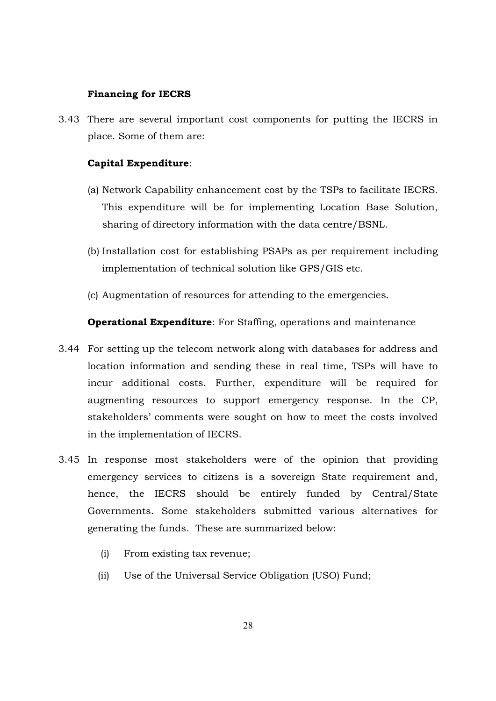#### **Financing for IECRS**

3.43 There are several important cost components for putting the IECRS in place. Some of them are:

#### **Capital Expenditure**:

- (a) Network Capability enhancement cost by the TSPs to facilitate IECRS. This expenditure will be for implementing Location Base Solution, sharing of directory information with the data centre/BSNL.
- (b) Installation cost for establishing PSAPs as per requirement including implementation of technical solution like GPS/GIS etc.
- (c) Augmentation of resources for attending to the emergencies.

**Operational Expenditure**: For Staffing, operations and maintenance

- 3.44 For setting up the telecom network along with databases for address and location information and sending these in real time, TSPs will have to incur additional costs. Further, expenditure will be required for augmenting resources to support emergency response. In the CP, stakeholders' comments were sought on how to meet the costs involved in the implementation of IECRS.
- 3.45 In response most stakeholders were of the opinion that providing emergency services to citizens is a sovereign State requirement and, hence, the IECRS should be entirely funded by Central/State Governments. Some stakeholders submitted various alternatives for generating the funds. These are summarized below:
	- (i) From existing tax revenue;
	- (ii) Use of the Universal Service Obligation (USO) Fund;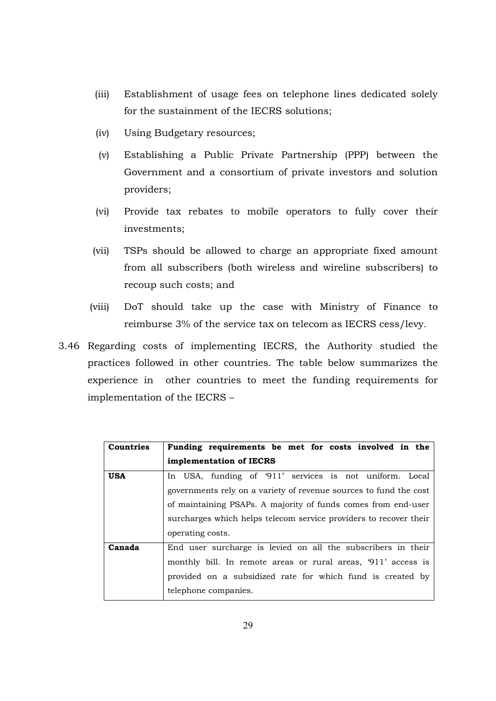- (iii) Establishment of usage fees on telephone lines dedicated solely for the sustainment of the IECRS solutions;
- (iv) Using Budgetary resources;
- (v) Establishing a Public Private Partnership (PPP) between the Government and a consortium of private investors and solution providers;
- (vi) Provide tax rebates to mobile operators to fully cover their investments;
- (vii) TSPs should be allowed to charge an appropriate fixed amount from all subscribers (both wireless and wireline subscribers) to recoup such costs; and
- (viii) DoT should take up the case with Ministry of Finance to reimburse 3% of the service tax on telecom as IECRS cess/levy.
- 3.46 Regarding costs of implementing IECRS, the Authority studied the practices followed in other countries. The table below summarizes the experience in other countries to meet the funding requirements for implementation of the IECRS –

| <b>Countries</b> | Funding requirements be met for costs involved in the             |  |  |
|------------------|-------------------------------------------------------------------|--|--|
|                  | implementation of IECRS                                           |  |  |
| <b>USA</b>       | In USA, funding of '911' services is not uniform. Local           |  |  |
|                  | governments rely on a variety of revenue sources to fund the cost |  |  |
|                  | of maintaining PSAPs. A majority of funds comes from end-user     |  |  |
|                  | surcharges which helps telecom service providers to recover their |  |  |
|                  | operating costs.                                                  |  |  |
| Canada           | End user surcharge is levied on all the subscribers in their      |  |  |
|                  | monthly bill. In remote areas or rural areas, '911' access is     |  |  |
|                  | provided on a subsidized rate for which fund is created by        |  |  |
|                  | telephone companies.                                              |  |  |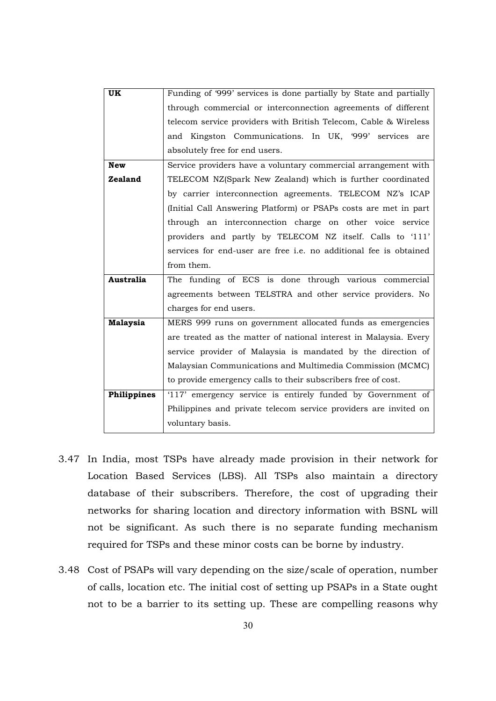| UK               | Funding of '999' services is done partially by State and partially |
|------------------|--------------------------------------------------------------------|
|                  | through commercial or interconnection agreements of different      |
|                  | telecom service providers with British Telecom, Cable & Wireless   |
|                  | and Kingston Communications. In UK, '999' services are             |
|                  | absolutely free for end users.                                     |
| <b>New</b>       | Service providers have a voluntary commercial arrangement with     |
| Zealand          | TELECOM NZ(Spark New Zealand) which is further coordinated         |
|                  | by carrier interconnection agreements. TELECOM NZ's ICAP           |
|                  | (Initial Call Answering Platform) or PSAPs costs are met in part   |
|                  | through an interconnection charge on other voice service           |
|                  | providers and partly by TELECOM NZ itself. Calls to '111'          |
|                  | services for end-user are free i.e. no additional fee is obtained  |
|                  | from them.                                                         |
| <b>Australia</b> | The funding of ECS is done through various commercial              |
|                  | agreements between TELSTRA and other service providers. No         |
|                  | charges for end users.                                             |
| <b>Malaysia</b>  | MERS 999 runs on government allocated funds as emergencies         |
|                  | are treated as the matter of national interest in Malaysia. Every  |
|                  | service provider of Malaysia is mandated by the direction of       |
|                  | Malaysian Communications and Multimedia Commission (MCMC)          |
|                  | to provide emergency calls to their subscribers free of cost.      |
| Philippines      | '117' emergency service is entirely funded by Government of        |
|                  | Philippines and private telecom service providers are invited on   |
|                  | voluntary basis.                                                   |
|                  |                                                                    |

- 3.47 In India, most TSPs have already made provision in their network for Location Based Services (LBS). All TSPs also maintain a directory database of their subscribers. Therefore, the cost of upgrading their networks for sharing location and directory information with BSNL will not be significant. As such there is no separate funding mechanism required for TSPs and these minor costs can be borne by industry.
- 3.48 Cost of PSAPs will vary depending on the size/scale of operation, number of calls, location etc. The initial cost of setting up PSAPs in a State ought not to be a barrier to its setting up. These are compelling reasons why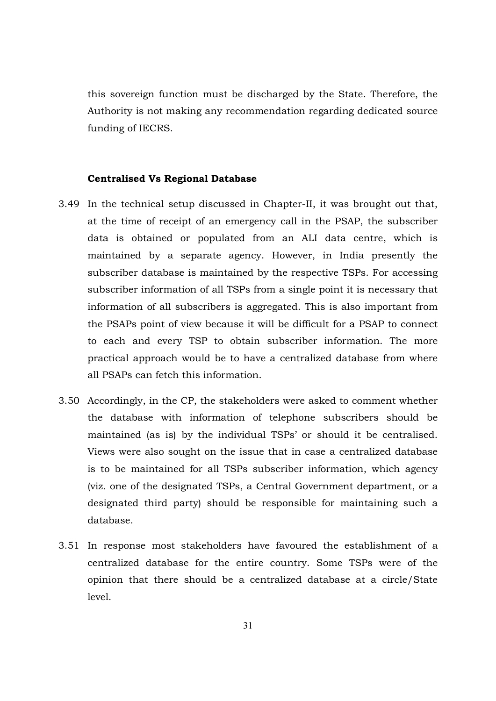this sovereign function must be discharged by the State. Therefore, the Authority is not making any recommendation regarding dedicated source funding of IECRS.

#### **Centralised Vs Regional Database**

- 3.49 In the technical setup discussed in Chapter-II, it was brought out that, at the time of receipt of an emergency call in the PSAP, the subscriber data is obtained or populated from an ALI data centre, which is maintained by a separate agency. However, in India presently the subscriber database is maintained by the respective TSPs. For accessing subscriber information of all TSPs from a single point it is necessary that information of all subscribers is aggregated. This is also important from the PSAPs point of view because it will be difficult for a PSAP to connect to each and every TSP to obtain subscriber information. The more practical approach would be to have a centralized database from where all PSAPs can fetch this information.
- 3.50 Accordingly, in the CP, the stakeholders were asked to comment whether the database with information of telephone subscribers should be maintained (as is) by the individual TSPs' or should it be centralised. Views were also sought on the issue that in case a centralized database is to be maintained for all TSPs subscriber information, which agency (viz. one of the designated TSPs, a Central Government department, or a designated third party) should be responsible for maintaining such a database.
- 3.51 In response most stakeholders have favoured the establishment of a centralized database for the entire country. Some TSPs were of the opinion that there should be a centralized database at a circle/State level.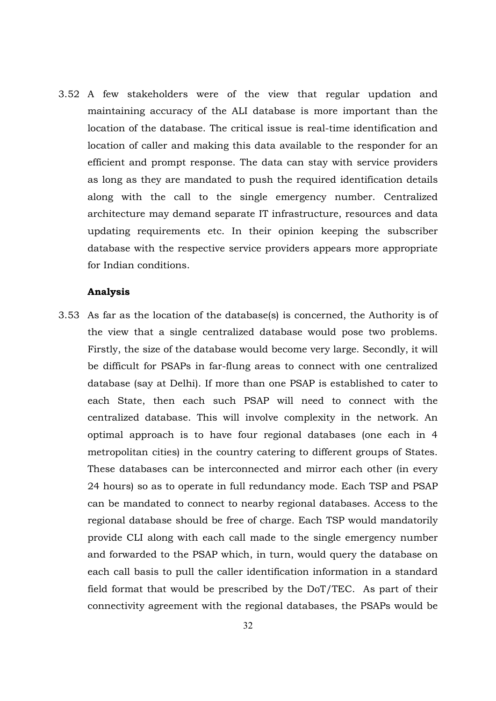3.52 A few stakeholders were of the view that regular updation and maintaining accuracy of the ALI database is more important than the location of the database. The critical issue is real-time identification and location of caller and making this data available to the responder for an efficient and prompt response. The data can stay with service providers as long as they are mandated to push the required identification details along with the call to the single emergency number. Centralized architecture may demand separate IT infrastructure, resources and data updating requirements etc. In their opinion keeping the subscriber database with the respective service providers appears more appropriate for Indian conditions.

#### **Analysis**

3.53 As far as the location of the database(s) is concerned, the Authority is of the view that a single centralized database would pose two problems. Firstly, the size of the database would become very large. Secondly, it will be difficult for PSAPs in far-flung areas to connect with one centralized database (say at Delhi). If more than one PSAP is established to cater to each State, then each such PSAP will need to connect with the centralized database. This will involve complexity in the network. An optimal approach is to have four regional databases (one each in 4 metropolitan cities) in the country catering to different groups of States. These databases can be interconnected and mirror each other (in every 24 hours) so as to operate in full redundancy mode. Each TSP and PSAP can be mandated to connect to nearby regional databases. Access to the regional database should be free of charge. Each TSP would mandatorily provide CLI along with each call made to the single emergency number and forwarded to the PSAP which, in turn, would query the database on each call basis to pull the caller identification information in a standard field format that would be prescribed by the DoT/TEC. As part of their connectivity agreement with the regional databases, the PSAPs would be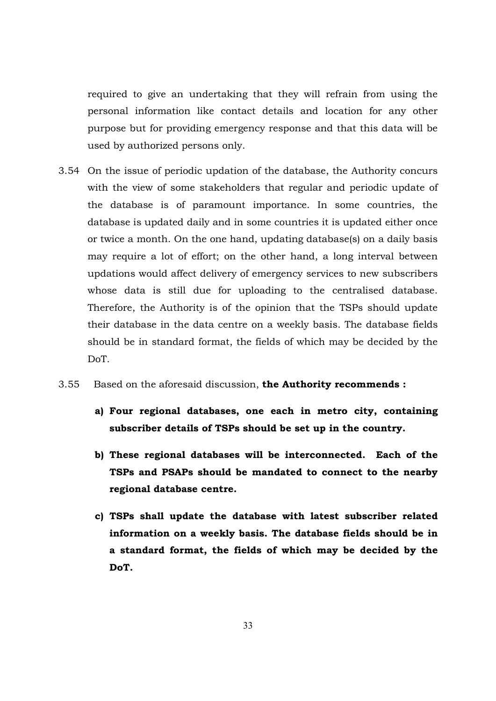required to give an undertaking that they will refrain from using the personal information like contact details and location for any other purpose but for providing emergency response and that this data will be used by authorized persons only.

- 3.54 On the issue of periodic updation of the database, the Authority concurs with the view of some stakeholders that regular and periodic update of the database is of paramount importance. In some countries, the database is updated daily and in some countries it is updated either once or twice a month. On the one hand, updating database(s) on a daily basis may require a lot of effort; on the other hand, a long interval between updations would affect delivery of emergency services to new subscribers whose data is still due for uploading to the centralised database. Therefore, the Authority is of the opinion that the TSPs should update their database in the data centre on a weekly basis. The database fields should be in standard format, the fields of which may be decided by the DoT.
- 3.55 Based on the aforesaid discussion, **the Authority recommends :** 
	- **a) Four regional databases, one each in metro city, containing subscriber details of TSPs should be set up in the country.**
	- **b) These regional databases will be interconnected. Each of the TSPs and PSAPs should be mandated to connect to the nearby regional database centre.**
	- **c) TSPs shall update the database with latest subscriber related information on a weekly basis. The database fields should be in a standard format, the fields of which may be decided by the DoT.**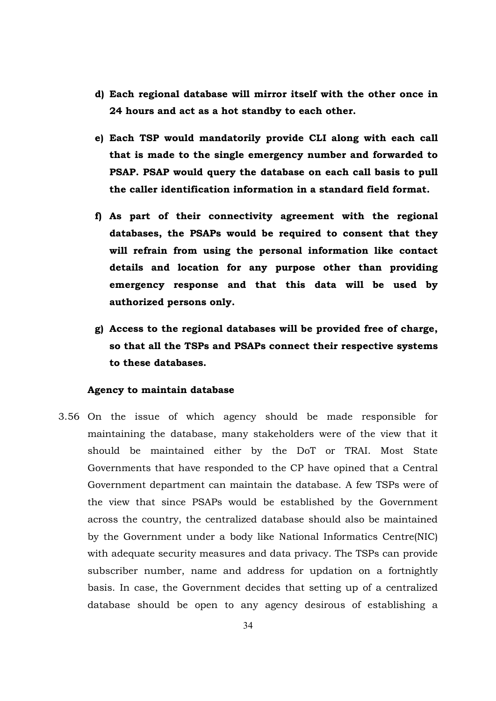- **d) Each regional database will mirror itself with the other once in 24 hours and act as a hot standby to each other.**
- **e) Each TSP would mandatorily provide CLI along with each call that is made to the single emergency number and forwarded to PSAP. PSAP would query the database on each call basis to pull the caller identification information in a standard field format.**
- **f) As part of their connectivity agreement with the regional databases, the PSAPs would be required to consent that they will refrain from using the personal information like contact details and location for any purpose other than providing emergency response and that this data will be used by authorized persons only.**
- **g) Access to the regional databases will be provided free of charge, so that all the TSPs and PSAPs connect their respective systems to these databases.**

#### **Agency to maintain database**

3.56 On the issue of which agency should be made responsible for maintaining the database, many stakeholders were of the view that it should be maintained either by the DoT or TRAI. Most State Governments that have responded to the CP have opined that a Central Government department can maintain the database. A few TSPs were of the view that since PSAPs would be established by the Government across the country, the centralized database should also be maintained by the Government under a body like National Informatics Centre(NIC) with adequate security measures and data privacy. The TSPs can provide subscriber number, name and address for updation on a fortnightly basis. In case, the Government decides that setting up of a centralized database should be open to any agency desirous of establishing a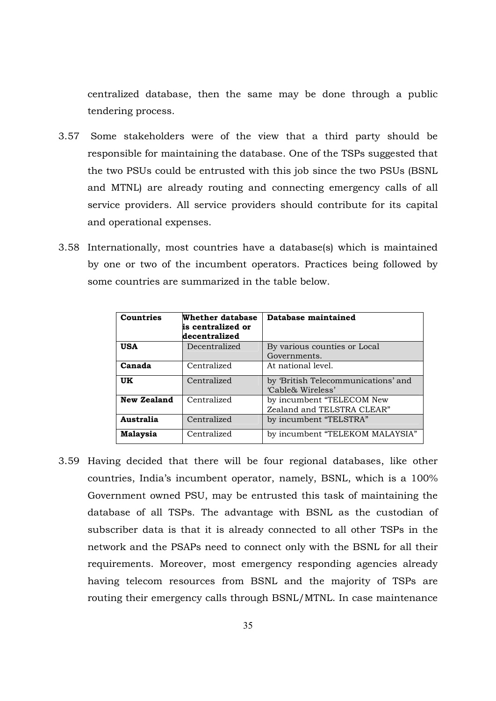centralized database, then the same may be done through a public tendering process.

- 3.57 Some stakeholders were of the view that a third party should be responsible for maintaining the database. One of the TSPs suggested that the two PSUs could be entrusted with this job since the two PSUs (BSNL and MTNL) are already routing and connecting emergency calls of all service providers. All service providers should contribute for its capital and operational expenses.
- 3.58 Internationally, most countries have a database(s) which is maintained by one or two of the incumbent operators. Practices being followed by some countries are summarized in the table below.

| <b>Countries</b>   | Whether database<br>is centralized or<br>decentralized | Database maintained                                      |
|--------------------|--------------------------------------------------------|----------------------------------------------------------|
| <b>USA</b>         | Decentralized                                          | By various counties or Local<br>Governments.             |
| Canada             | Centralized                                            | At national level.                                       |
| <b>UK</b>          | Centralized                                            | by 'British Telecommunications' and<br>'Cable& Wireless' |
| <b>New Zealand</b> | Centralized                                            | by incumbent "TELECOM New<br>Zealand and TELSTRA CLEAR"  |
| Australia          | Centralized                                            | by incumbent "TELSTRA"                                   |
| Malaysia           | Centralized                                            | by incumbent "TELEKOM MALAYSIA"                          |

3.59 Having decided that there will be four regional databases, like other countries, India's incumbent operator, namely, BSNL, which is a 100% Government owned PSU, may be entrusted this task of maintaining the database of all TSPs. The advantage with BSNL as the custodian of subscriber data is that it is already connected to all other TSPs in the network and the PSAPs need to connect only with the BSNL for all their requirements. Moreover, most emergency responding agencies already having telecom resources from BSNL and the majority of TSPs are routing their emergency calls through BSNL/MTNL. In case maintenance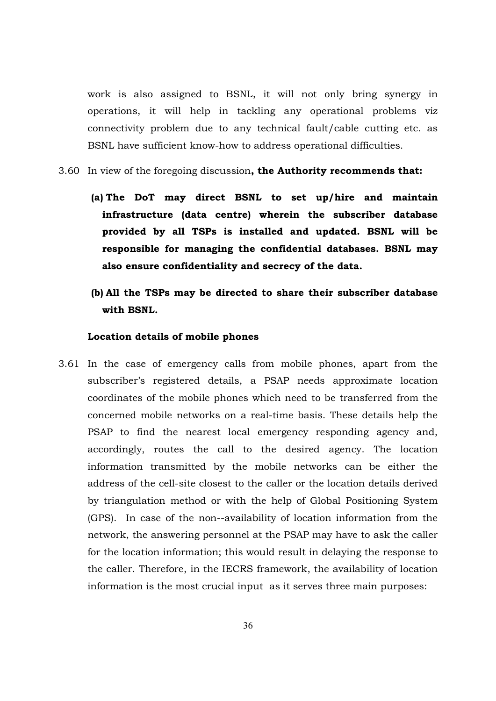work is also assigned to BSNL, it will not only bring synergy in operations, it will help in tackling any operational problems viz connectivity problem due to any technical fault/cable cutting etc. as BSNL have sufficient know-how to address operational difficulties.

#### 3.60 In view of the foregoing discussion**, the Authority recommends that:**

- **(a) The DoT may direct BSNL to set up/hire and maintain infrastructure (data centre) wherein the subscriber database provided by all TSPs is installed and updated. BSNL will be responsible for managing the confidential databases. BSNL may also ensure confidentiality and secrecy of the data.**
- **(b) All the TSPs may be directed to share their subscriber database with BSNL.**

#### **Location details of mobile phones**

3.61 In the case of emergency calls from mobile phones, apart from the subscriber's registered details, a PSAP needs approximate location coordinates of the mobile phones which need to be transferred from the concerned mobile networks on a real-time basis. These details help the PSAP to find the nearest local emergency responding agency and, accordingly, routes the call to the desired agency. The location information transmitted by the mobile networks can be either the address of the cell-site closest to the caller or the location details derived by triangulation method or with the help of Global Positioning System (GPS). In case of the non--availability of location information from the network, the answering personnel at the PSAP may have to ask the caller for the location information; this would result in delaying the response to the caller. Therefore, in the IECRS framework, the availability of location information is the most crucial input as it serves three main purposes: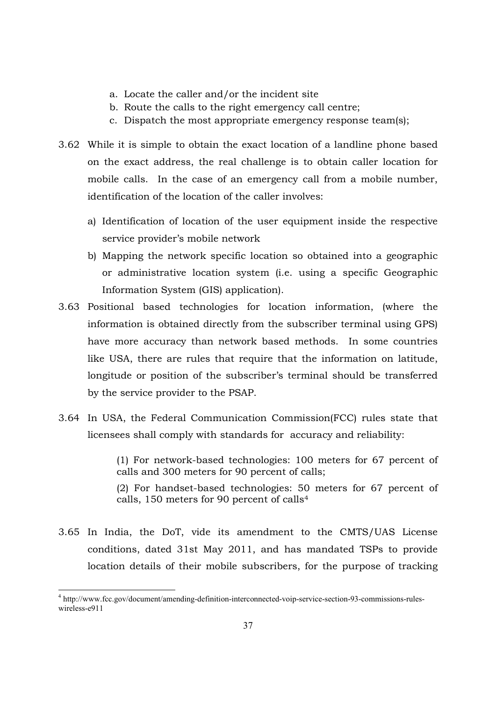- a. Locate the caller and/or the incident site
- b. Route the calls to the right emergency call centre;
- c. Dispatch the most appropriate emergency response team(s);
- 3.62 While it is simple to obtain the exact location of a landline phone based on the exact address, the real challenge is to obtain caller location for mobile calls. In the case of an emergency call from a mobile number, identification of the location of the caller involves:
	- a) Identification of location of the user equipment inside the respective service provider's mobile network
	- b) Mapping the network specific location so obtained into a geographic or administrative location system (i.e. using a specific Geographic Information System (GIS) application).
- 3.63 Positional based technologies for location information, (where the information is obtained directly from the subscriber terminal using GPS) have more accuracy than network based methods. In some countries like USA, there are rules that require that the information on latitude, longitude or position of the subscriber's terminal should be transferred by the service provider to the PSAP.
- 3.64 In USA, the Federal Communication Commission(FCC) rules state that licensees shall comply with standards for accuracy and reliability:

(1) For network-based technologies: 100 meters for 67 percent of calls and 300 meters for 90 percent of calls;

(2) For handset-based technologies: 50 meters for 67 percent of calls, 150 meters for 90 percent of calls<sup>4</sup>

3.65 In India, the DoT, vide its amendment to the CMTS/UAS License conditions, dated 31st May 2011, and has mandated TSPs to provide location details of their mobile subscribers, for the purpose of tracking

 $\frac{1}{2}$ <sup>4</sup> http://www.fcc.gov/document/amending-definition-interconnected-voip-service-section-93-commissions-ruleswireless-e911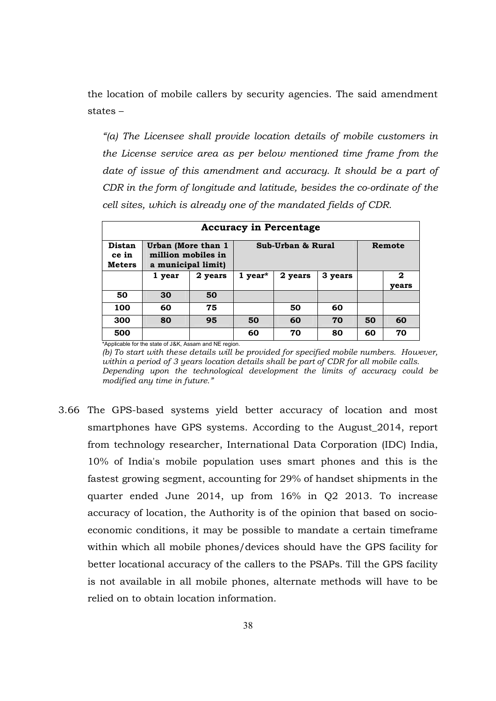the location of mobile callers by security agencies. The said amendment states –

*"(a) The Licensee shall provide location details of mobile customers in the License service area as per below mentioned time frame from the date of issue of this amendment and accuracy. It should be a part of CDR in the form of longitude and latitude, besides the co-ordinate of the cell sites, which is already one of the mandated fields of CDR.* 

| <b>Accuracy in Percentage</b>    |                                                                |         |                       |         |         |    |            |
|----------------------------------|----------------------------------------------------------------|---------|-----------------------|---------|---------|----|------------|
| Distan<br>ce in<br><b>Meters</b> | Urban (More than 1<br>million mobiles in<br>a municipal limit) |         | Sub-Urban & Rural     |         | Remote  |    |            |
|                                  | 1 year                                                         | 2 years | $1$ year <sup>*</sup> | 2 years | 3 years |    | 2<br>vears |
| 50                               | 30                                                             | 50      |                       |         |         |    |            |
| 100                              | 60                                                             | 75      |                       | 50      | 60      |    |            |
| 300                              | 80                                                             | 95      | 50                    | 60      | 70      | 50 | 60         |
| 500                              |                                                                |         | 60                    | 70      | 80      | 60 | 70         |

\*Applicable for the state of J&K, Assam and NE region. *(b) To start with these details will be provided for specified mobile numbers. However, within a period of 3 years location details shall be part of CDR for all mobile calls. Depending upon the technological development the limits of accuracy could be modified any time in future."* 

3.66 The GPS-based systems yield better accuracy of location and most smartphones have GPS systems. According to the August\_2014, report from technology researcher, International Data Corporation (IDC) India, 10% of India's mobile population uses smart phones and this is the fastest growing segment, accounting for 29% of handset shipments in the quarter ended June 2014, up from 16% in Q2 2013. To increase accuracy of location, the Authority is of the opinion that based on socioeconomic conditions, it may be possible to mandate a certain timeframe within which all mobile phones/devices should have the GPS facility for better locational accuracy of the callers to the PSAPs. Till the GPS facility is not available in all mobile phones, alternate methods will have to be relied on to obtain location information.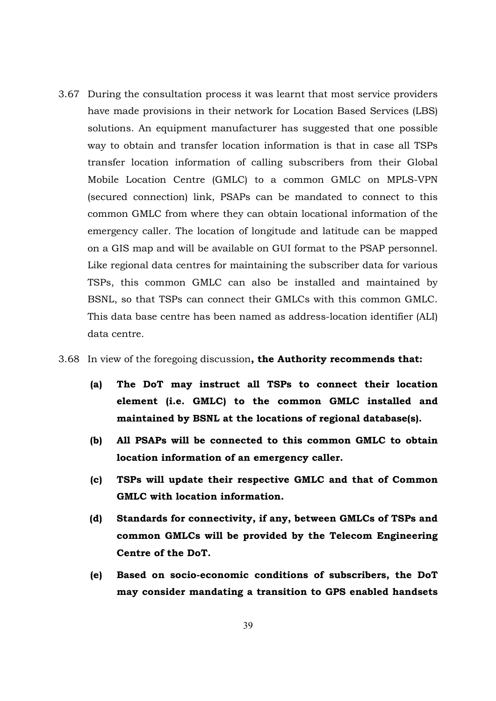3.67 During the consultation process it was learnt that most service providers have made provisions in their network for Location Based Services (LBS) solutions. An equipment manufacturer has suggested that one possible way to obtain and transfer location information is that in case all TSPs transfer location information of calling subscribers from their Global Mobile Location Centre (GMLC) to a common GMLC on MPLS-VPN (secured connection) link, PSAPs can be mandated to connect to this common GMLC from where they can obtain locational information of the emergency caller. The location of longitude and latitude can be mapped on a GIS map and will be available on GUI format to the PSAP personnel. Like regional data centres for maintaining the subscriber data for various TSPs, this common GMLC can also be installed and maintained by BSNL, so that TSPs can connect their GMLCs with this common GMLC. This data base centre has been named as address-location identifier (ALI) data centre.

#### 3.68 In view of the foregoing discussion**, the Authority recommends that:**

- **(a) The DoT may instruct all TSPs to connect their location element (i.e. GMLC) to the common GMLC installed and maintained by BSNL at the locations of regional database(s).**
- **(b) All PSAPs will be connected to this common GMLC to obtain location information of an emergency caller.**
- **(c) TSPs will update their respective GMLC and that of Common GMLC with location information.**
- **(d) Standards for connectivity, if any, between GMLCs of TSPs and common GMLCs will be provided by the Telecom Engineering Centre of the DoT.**
- **(e) Based on socio-economic conditions of subscribers, the DoT may consider mandating a transition to GPS enabled handsets**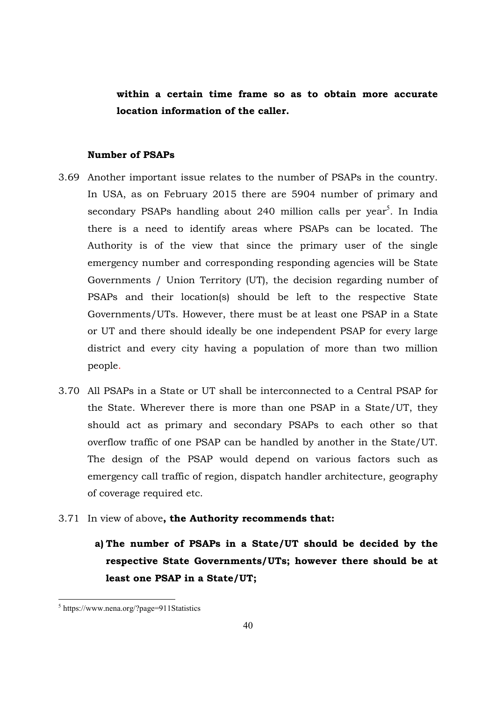**within a certain time frame so as to obtain more accurate location information of the caller.** 

## **Number of PSAPs**

- 3.69 Another important issue relates to the number of PSAPs in the country. In USA, as on February 2015 there are 5904 number of primary and secondary PSAPs handling about 240 million calls per year<sup>5</sup>. In India there is a need to identify areas where PSAPs can be located. The Authority is of the view that since the primary user of the single emergency number and corresponding responding agencies will be State Governments / Union Territory (UT), the decision regarding number of PSAPs and their location(s) should be left to the respective State Governments/UTs. However, there must be at least one PSAP in a State or UT and there should ideally be one independent PSAP for every large district and every city having a population of more than two million people.
- 3.70 All PSAPs in a State or UT shall be interconnected to a Central PSAP for the State. Wherever there is more than one PSAP in a State/UT, they should act as primary and secondary PSAPs to each other so that overflow traffic of one PSAP can be handled by another in the State/UT. The design of the PSAP would depend on various factors such as emergency call traffic of region, dispatch handler architecture, geography of coverage required etc.
- 3.71 In view of above**, the Authority recommends that:** 
	- **a) The number of PSAPs in a State/UT should be decided by the respective State Governments/UTs; however there should be at least one PSAP in a State/UT;**

 5 https://www.nena.org/?page=911Statistics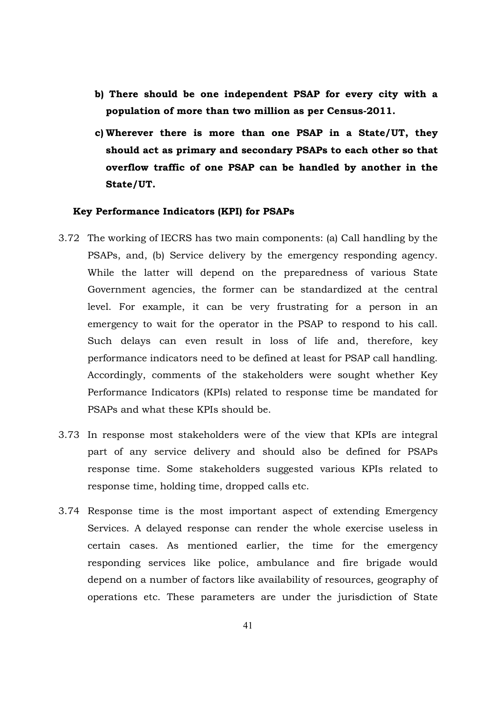- **b) There should be one independent PSAP for every city with a population of more than two million as per Census-2011.**
- **c) Wherever there is more than one PSAP in a State/UT, they should act as primary and secondary PSAPs to each other so that overflow traffic of one PSAP can be handled by another in the State/UT.**

#### **Key Performance Indicators (KPI) for PSAPs**

- 3.72 The working of IECRS has two main components: (a) Call handling by the PSAPs, and, (b) Service delivery by the emergency responding agency. While the latter will depend on the preparedness of various State Government agencies, the former can be standardized at the central level. For example, it can be very frustrating for a person in an emergency to wait for the operator in the PSAP to respond to his call. Such delays can even result in loss of life and, therefore, key performance indicators need to be defined at least for PSAP call handling. Accordingly, comments of the stakeholders were sought whether Key Performance Indicators (KPIs) related to response time be mandated for PSAPs and what these KPIs should be.
- 3.73 In response most stakeholders were of the view that KPIs are integral part of any service delivery and should also be defined for PSAPs response time. Some stakeholders suggested various KPIs related to response time, holding time, dropped calls etc.
- 3.74 Response time is the most important aspect of extending Emergency Services. A delayed response can render the whole exercise useless in certain cases. As mentioned earlier, the time for the emergency responding services like police, ambulance and fire brigade would depend on a number of factors like availability of resources, geography of operations etc. These parameters are under the jurisdiction of State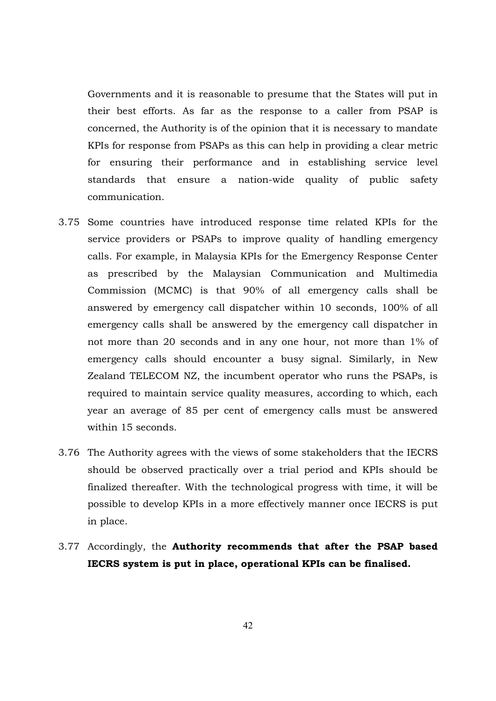Governments and it is reasonable to presume that the States will put in their best efforts. As far as the response to a caller from PSAP is concerned, the Authority is of the opinion that it is necessary to mandate KPIs for response from PSAPs as this can help in providing a clear metric for ensuring their performance and in establishing service level standards that ensure a nation-wide quality of public safety communication.

- 3.75 Some countries have introduced response time related KPIs for the service providers or PSAPs to improve quality of handling emergency calls. For example, in Malaysia KPIs for the Emergency Response Center as prescribed by the Malaysian Communication and Multimedia Commission (MCMC) is that 90% of all emergency calls shall be answered by emergency call dispatcher within 10 seconds, 100% of all emergency calls shall be answered by the emergency call dispatcher in not more than 20 seconds and in any one hour, not more than 1% of emergency calls should encounter a busy signal. Similarly, in New Zealand TELECOM NZ, the incumbent operator who runs the PSAPs, is required to maintain service quality measures, according to which, each year an average of 85 per cent of emergency calls must be answered within 15 seconds.
- 3.76 The Authority agrees with the views of some stakeholders that the IECRS should be observed practically over a trial period and KPIs should be finalized thereafter. With the technological progress with time, it will be possible to develop KPIs in a more effectively manner once IECRS is put in place.
- 3.77 Accordingly, the **Authority recommends that after the PSAP based IECRS system is put in place, operational KPIs can be finalised.**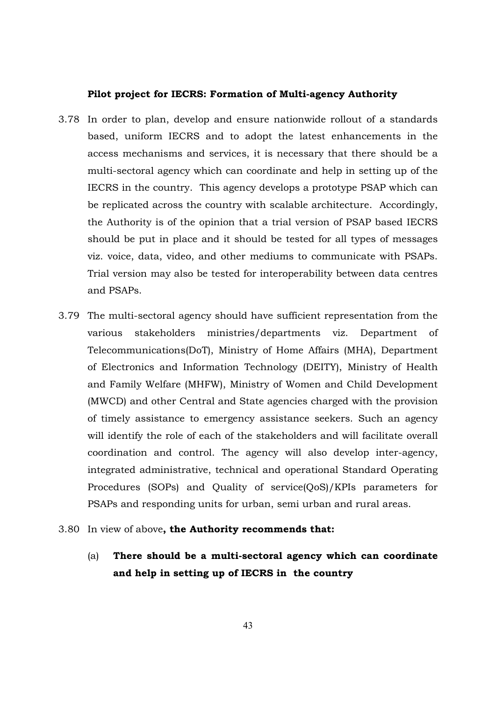#### **Pilot project for IECRS: Formation of Multi-agency Authority**

- 3.78 In order to plan, develop and ensure nationwide rollout of a standards based, uniform IECRS and to adopt the latest enhancements in the access mechanisms and services, it is necessary that there should be a multi-sectoral agency which can coordinate and help in setting up of the IECRS in the country. This agency develops a prototype PSAP which can be replicated across the country with scalable architecture. Accordingly, the Authority is of the opinion that a trial version of PSAP based IECRS should be put in place and it should be tested for all types of messages viz. voice, data, video, and other mediums to communicate with PSAPs. Trial version may also be tested for interoperability between data centres and PSAPs.
- 3.79 The multi-sectoral agency should have sufficient representation from the various stakeholders ministries/departments viz. Department of Telecommunications(DoT), Ministry of Home Affairs (MHA), Department of Electronics and Information Technology (DEITY), Ministry of Health and Family Welfare (MHFW), Ministry of Women and Child Development (MWCD) and other Central and State agencies charged with the provision of timely assistance to emergency assistance seekers. Such an agency will identify the role of each of the stakeholders and will facilitate overall coordination and control. The agency will also develop inter-agency, integrated administrative, technical and operational Standard Operating Procedures (SOPs) and Quality of service(QoS)/KPIs parameters for PSAPs and responding units for urban, semi urban and rural areas.
- 3.80 In view of above**, the Authority recommends that:** 
	- (a) **There should be a multi-sectoral agency which can coordinate and help in setting up of IECRS in the country**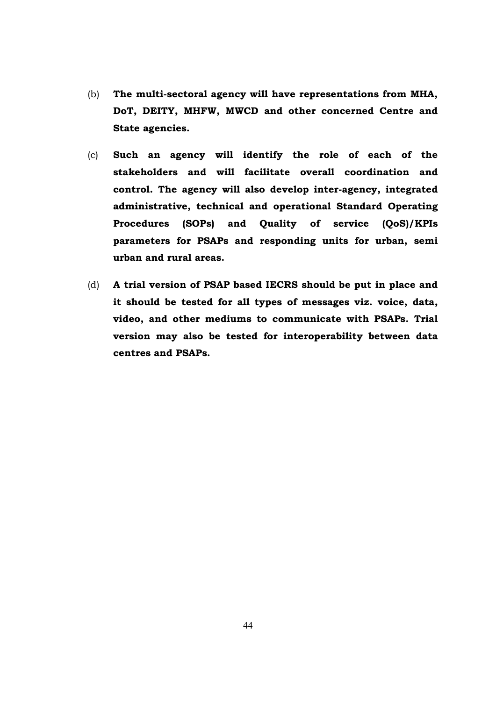- (b) **The multi-sectoral agency will have representations from MHA, DoT, DEITY, MHFW, MWCD and other concerned Centre and State agencies.**
- (c) **Such an agency will identify the role of each of the stakeholders and will facilitate overall coordination and control. The agency will also develop inter-agency, integrated administrative, technical and operational Standard Operating Procedures (SOPs) and Quality of service (QoS)/KPIs parameters for PSAPs and responding units for urban, semi urban and rural areas.**
- (d) **A trial version of PSAP based IECRS should be put in place and it should be tested for all types of messages viz. voice, data, video, and other mediums to communicate with PSAPs. Trial version may also be tested for interoperability between data centres and PSAPs.**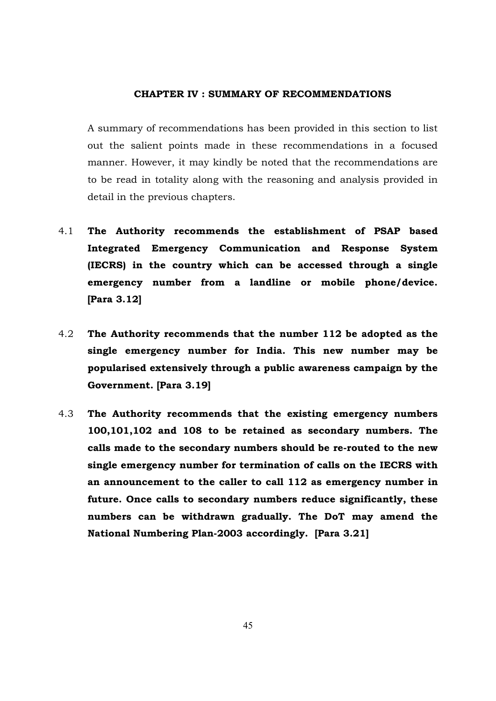#### **CHAPTER IV : SUMMARY OF RECOMMENDATIONS**

A summary of recommendations has been provided in this section to list out the salient points made in these recommendations in a focused manner. However, it may kindly be noted that the recommendations are to be read in totality along with the reasoning and analysis provided in detail in the previous chapters.

- 4.1 **The Authority recommends the establishment of PSAP based Integrated Emergency Communication and Response System (IECRS) in the country which can be accessed through a single emergency number from a landline or mobile phone/device. [Para 3.12]**
- 4.2 **The Authority recommends that the number 112 be adopted as the single emergency number for India. This new number may be popularised extensively through a public awareness campaign by the Government. [Para 3.19]**
- 4.3 **The Authority recommends that the existing emergency numbers 100,101,102 and 108 to be retained as secondary numbers. The calls made to the secondary numbers should be re-routed to the new single emergency number for termination of calls on the IECRS with an announcement to the caller to call 112 as emergency number in future. Once calls to secondary numbers reduce significantly, these numbers can be withdrawn gradually. The DoT may amend the National Numbering Plan-2003 accordingly. [Para 3.21]**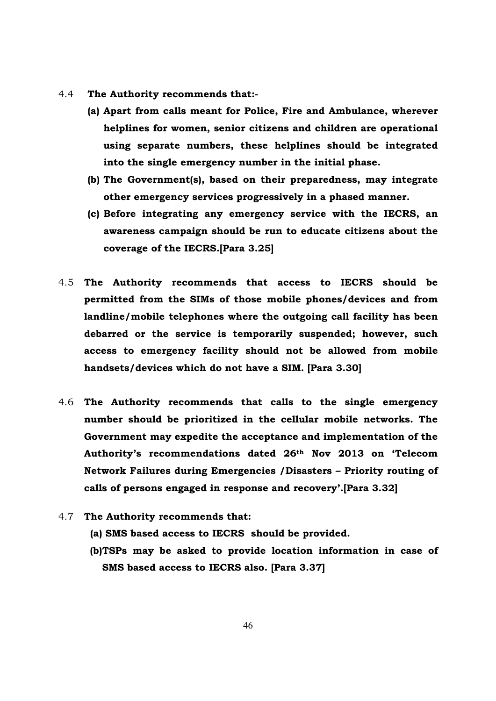- 4.4 **The Authority recommends that:-**
	- **(a) Apart from calls meant for Police, Fire and Ambulance, wherever helplines for women, senior citizens and children are operational using separate numbers, these helplines should be integrated into the single emergency number in the initial phase.**
	- **(b) The Government(s), based on their preparedness, may integrate other emergency services progressively in a phased manner.**
	- **(c) Before integrating any emergency service with the IECRS, an awareness campaign should be run to educate citizens about the coverage of the IECRS.[Para 3.25]**
- 4.5 **The Authority recommends that access to IECRS should be permitted from the SIMs of those mobile phones/devices and from landline/mobile telephones where the outgoing call facility has been debarred or the service is temporarily suspended; however, such access to emergency facility should not be allowed from mobile handsets/devices which do not have a SIM. [Para 3.30]**
- 4.6 **The Authority recommends that calls to the single emergency number should be prioritized in the cellular mobile networks. The Government may expedite the acceptance and implementation of the Authority's recommendations dated 26th Nov 2013 on 'Telecom Network Failures during Emergencies /Disasters – Priority routing of calls of persons engaged in response and recovery'.[Para 3.32]**
- 4.7 **The Authority recommends that:** 
	- **(a) SMS based access to IECRS should be provided.**
	- **(b)TSPs may be asked to provide location information in case of SMS based access to IECRS also. [Para 3.37]**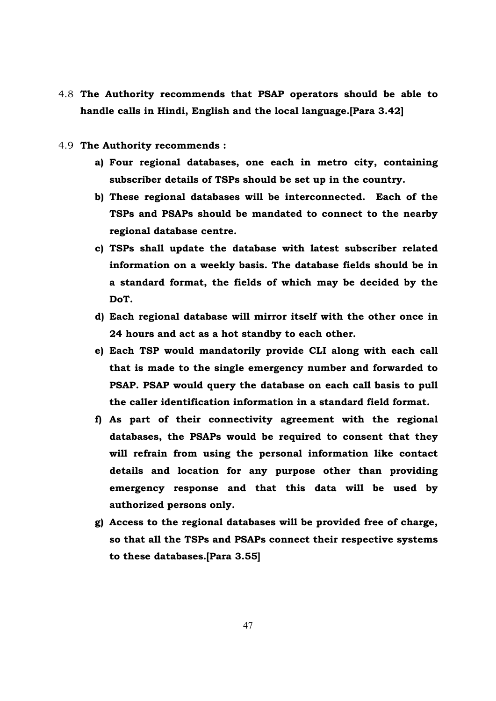- 4.8 **The Authority recommends that PSAP operators should be able to handle calls in Hindi, English and the local language.[Para 3.42]**
- 4.9 **The Authority recommends :** 
	- **a) Four regional databases, one each in metro city, containing subscriber details of TSPs should be set up in the country.**
	- **b) These regional databases will be interconnected. Each of the TSPs and PSAPs should be mandated to connect to the nearby regional database centre.**
	- **c) TSPs shall update the database with latest subscriber related information on a weekly basis. The database fields should be in a standard format, the fields of which may be decided by the DoT.**
	- **d) Each regional database will mirror itself with the other once in 24 hours and act as a hot standby to each other.**
	- **e) Each TSP would mandatorily provide CLI along with each call that is made to the single emergency number and forwarded to PSAP. PSAP would query the database on each call basis to pull the caller identification information in a standard field format.**
	- **f) As part of their connectivity agreement with the regional databases, the PSAPs would be required to consent that they will refrain from using the personal information like contact details and location for any purpose other than providing emergency response and that this data will be used by authorized persons only.**
	- **g) Access to the regional databases will be provided free of charge, so that all the TSPs and PSAPs connect their respective systems to these databases.[Para 3.55]**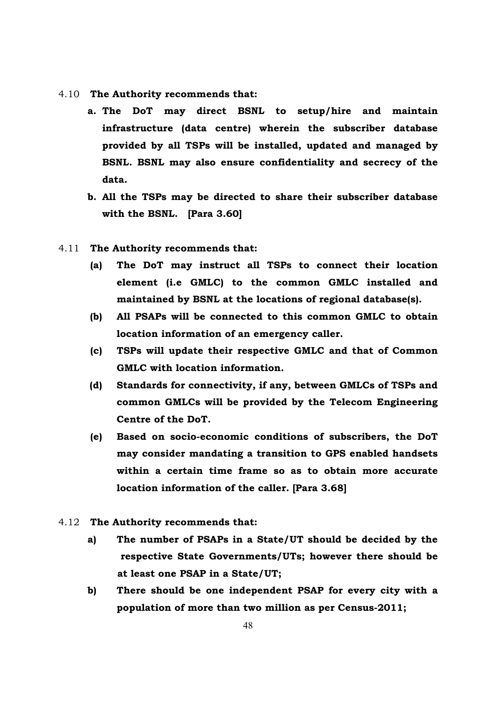- 4.10 **The Authority recommends that:** 
	- **a. The DoT may direct BSNL to setup/hire and maintain infrastructure (data centre) wherein the subscriber database provided by all TSPs will be installed, updated and managed by BSNL. BSNL may also ensure confidentiality and secrecy of the data.**
	- **b. All the TSPs may be directed to share their subscriber database with the BSNL. [Para 3.60]**
- 4.11 **The Authority recommends that:**
	- **(a) The DoT may instruct all TSPs to connect their location element (i.e GMLC) to the common GMLC installed and maintained by BSNL at the locations of regional database(s).**
	- **(b) All PSAPs will be connected to this common GMLC to obtain location information of an emergency caller.**
	- **(c) TSPs will update their respective GMLC and that of Common GMLC with location information.**
	- **(d) Standards for connectivity, if any, between GMLCs of TSPs and common GMLCs will be provided by the Telecom Engineering Centre of the DoT.**
	- **(e) Based on socio-economic conditions of subscribers, the DoT may consider mandating a transition to GPS enabled handsets within a certain time frame so as to obtain more accurate location information of the caller. [Para 3.68]**
- 4.12 **The Authority recommends that:** 
	- **a) The number of PSAPs in a State/UT should be decided by the respective State Governments/UTs; however there should be at least one PSAP in a State/UT;**
	- **b) There should be one independent PSAP for every city with a population of more than two million as per Census-2011;**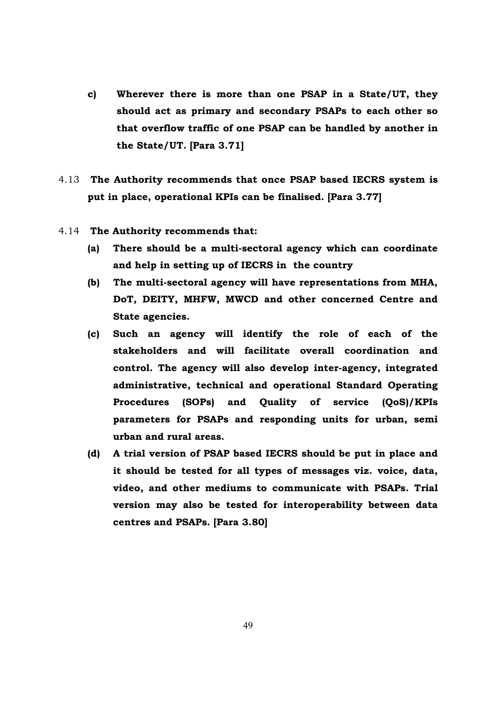- **c) Wherever there is more than one PSAP in a State/UT, they should act as primary and secondary PSAPs to each other so that overflow traffic of one PSAP can be handled by another in the State/UT. [Para 3.71]**
- 4.13 **The Authority recommends that once PSAP based IECRS system is put in place, operational KPIs can be finalised. [Para 3.77]**
- 4.14 **The Authority recommends that:** 
	- **(a) There should be a multi-sectoral agency which can coordinate and help in setting up of IECRS in the country**
	- **(b) The multi-sectoral agency will have representations from MHA, DoT, DEITY, MHFW, MWCD and other concerned Centre and State agencies.**
	- **(c) Such an agency will identify the role of each of the stakeholders and will facilitate overall coordination and control. The agency will also develop inter-agency, integrated administrative, technical and operational Standard Operating Procedures (SOPs) and Quality of service (QoS)/KPIs parameters for PSAPs and responding units for urban, semi urban and rural areas.**
	- **(d) A trial version of PSAP based IECRS should be put in place and it should be tested for all types of messages viz. voice, data, video, and other mediums to communicate with PSAPs. Trial version may also be tested for interoperability between data centres and PSAPs. [Para 3.80]**

49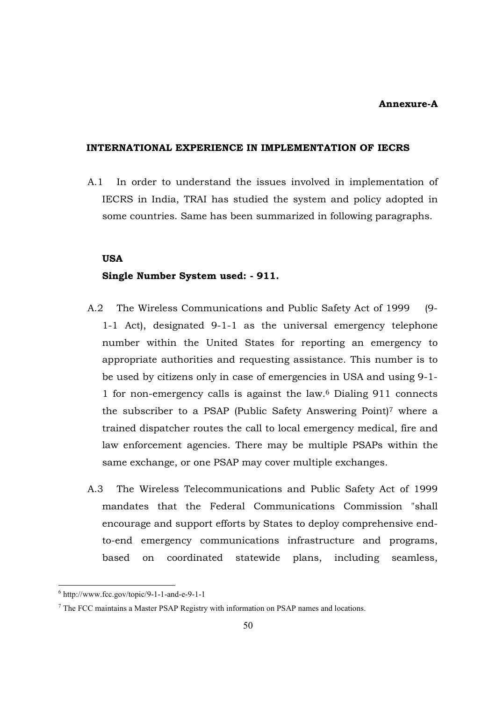#### **Annexure-A**

#### **INTERNATIONAL EXPERIENCE IN IMPLEMENTATION OF IECRS**

A.1 In order to understand the issues involved in implementation of IECRS in India, TRAI has studied the system and policy adopted in some countries. Same has been summarized in following paragraphs.

#### **USA**

#### **Single Number System used: - 911.**

- A.2 The Wireless Communications and Public Safety Act of 1999 (9- 1-1 Act), designated 9-1-1 as the universal emergency telephone number within the United States for reporting an emergency to appropriate authorities and requesting assistance. This number is to be used by citizens only in case of emergencies in USA and using 9-1- 1 for non-emergency calls is against the law.<sup>6</sup> Dialing 911 connects the subscriber to a PSAP (Public Safety Answering Point)<sup>7</sup> where a trained dispatcher routes the call to local emergency medical, fire and law enforcement agencies. There may be multiple PSAPs within the same exchange, or one PSAP may cover multiple exchanges.
- A.3 The Wireless Telecommunications and Public Safety Act of 1999 mandates that the Federal Communications Commission "shall encourage and support efforts by States to deploy comprehensive endto-end emergency communications infrastructure and programs, based on coordinated statewide plans, including seamless,

<sup>6</sup> http://www.fcc.gov/topic/9-1-1-and-e-9-1-1

<sup>7</sup> The FCC maintains a Master PSAP Registry with information on PSAP names and locations.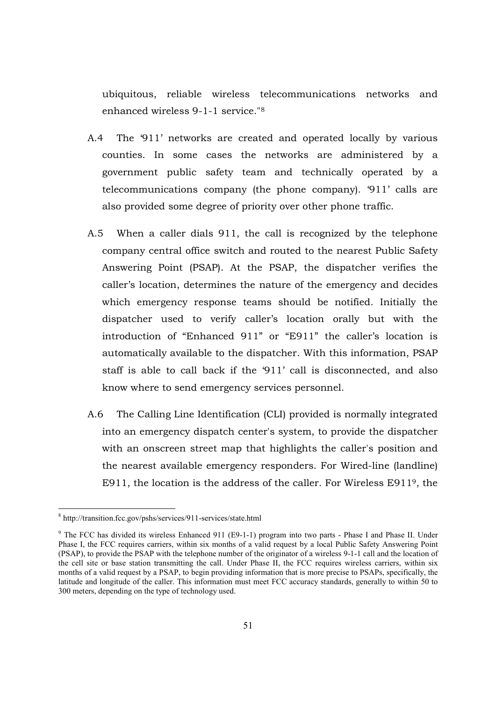ubiquitous, reliable wireless telecommunications networks and enhanced wireless 9-1-1 service."<sup>8</sup>

- A.4 The '911' networks are created and operated locally by various counties. In some cases the networks are administered by a government public safety team and technically operated by a telecommunications company (the phone company). '911' calls are also provided some degree of priority over other phone traffic.
- A.5 When a caller dials 911, the call is recognized by the telephone company central office switch and routed to the nearest Public Safety Answering Point (PSAP). At the PSAP, the dispatcher verifies the caller's location, determines the nature of the emergency and decides which emergency response teams should be notified. Initially the dispatcher used to verify caller's location orally but with the introduction of "Enhanced 911" or "E911" the caller's location is automatically available to the dispatcher. With this information, PSAP staff is able to call back if the '911' call is disconnected, and also know where to send emergency services personnel.
- A.6 The Calling Line Identification (CLI) provided is normally integrated into an emergency dispatch center's system, to provide the dispatcher with an onscreen street map that highlights the caller's position and the nearest available emergency responders. For Wired-line (landline) E911, the location is the address of the caller. For Wireless E9119, the

<sup>8</sup> http://transition.fcc.gov/pshs/services/911-services/state.html

<sup>&</sup>lt;sup>9</sup> The FCC has divided its wireless Enhanced 911 (E9-1-1) program into two parts - Phase I and Phase II. Under Phase I, the FCC requires carriers, within six months of a valid request by a local Public Safety Answering Point (PSAP), to provide the PSAP with the telephone number of the originator of a wireless 9-1-1 call and the location of the cell site or base station transmitting the call. Under Phase II, the FCC requires wireless carriers, within six months of a valid request by a PSAP, to begin providing information that is more precise to PSAPs, specifically, the latitude and longitude of the caller. This information must meet FCC accuracy standards, generally to within 50 to 300 meters, depending on the type of technology used.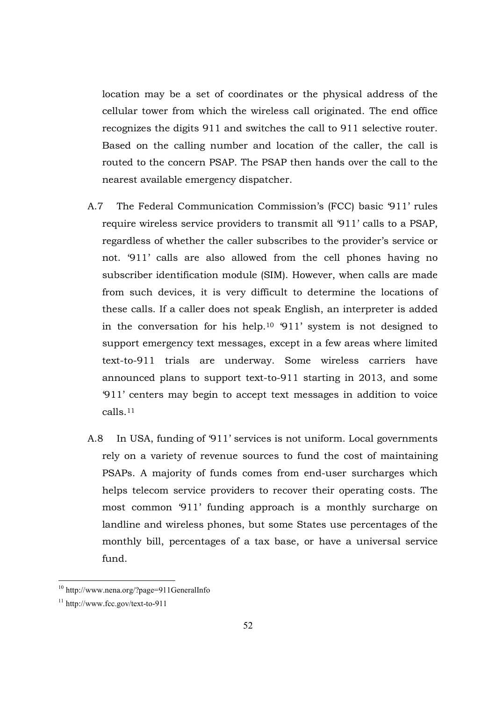location may be a set of coordinates or the physical address of the cellular tower from which the wireless call originated. The end office recognizes the digits 911 and switches the call to 911 selective router. Based on the calling number and location of the caller, the call is routed to the concern PSAP. The PSAP then hands over the call to the nearest available emergency dispatcher.

- A.7 The Federal Communication Commission's (FCC) basic '911' rules require wireless service providers to transmit all '911' calls to a PSAP, regardless of whether the caller subscribes to the provider's service or not. '911' calls are also allowed from the cell phones having no subscriber identification module (SIM). However, when calls are made from such devices, it is very difficult to determine the locations of these calls. If a caller does not speak English, an interpreter is added in the conversation for his help.10 '911' system is not designed to support emergency text messages, except in a few areas where limited text-to-911 trials are underway. Some wireless carriers have announced plans to support text-to-911 starting in 2013, and some '911' centers may begin to accept text messages in addition to voice calls.<sup>11</sup>
- A.8 In USA, funding of '911' services is not uniform. Local governments rely on a variety of revenue sources to fund the cost of maintaining PSAPs. A majority of funds comes from end-user surcharges which helps telecom service providers to recover their operating costs. The most common '911' funding approach is a monthly surcharge on landline and wireless phones, but some States use percentages of the monthly bill, percentages of a tax base, or have a universal service fund.

<sup>&</sup>lt;sup>10</sup> http://www.nena.org/?page=911GeneralInfo

<sup>11</sup> http://www.fcc.gov/text-to-911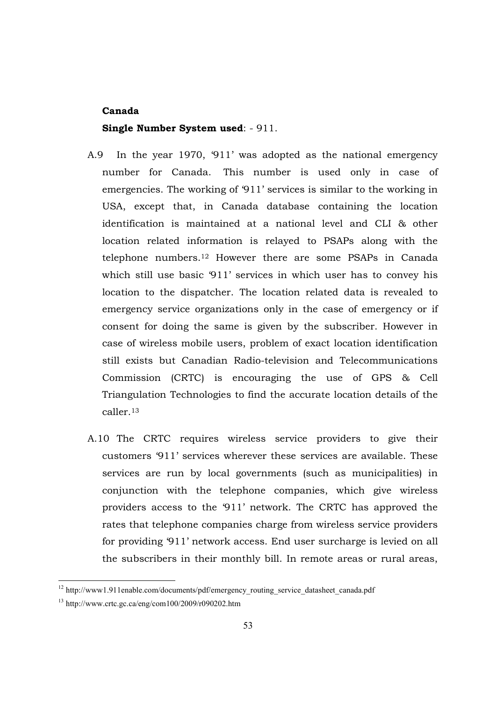#### **Canada**

#### **Single Number System used**: - 911.

- A.9 In the year 1970, '911' was adopted as the national emergency number for Canada. This number is used only in case of emergencies. The working of '911' services is similar to the working in USA, except that, in Canada database containing the location identification is maintained at a national level and CLI & other location related information is relayed to PSAPs along with the telephone numbers.<sup>12</sup> However there are some PSAPs in Canada which still use basic '911' services in which user has to convey his location to the dispatcher. The location related data is revealed to emergency service organizations only in the case of emergency or if consent for doing the same is given by the subscriber. However in case of wireless mobile users, problem of exact location identification still exists but Canadian Radio-television and Telecommunications Commission (CRTC) is encouraging the use of GPS & Cell Triangulation Technologies to find the accurate location details of the caller.<sup>13</sup>
- A.10 The CRTC requires wireless service providers to give their customers '911' services wherever these services are available. These services are run by local governments (such as municipalities) in conjunction with the telephone companies, which give wireless providers access to the '911' network. The CRTC has approved the rates that telephone companies charge from wireless service providers for providing '911' network access. End user surcharge is levied on all the subscribers in their monthly bill. In remote areas or rural areas,

<sup>&</sup>lt;sup>12</sup> http://www1.911enable.com/documents/pdf/emergency\_routing\_service\_datasheet\_canada.pdf

<sup>13</sup> http://www.crtc.gc.ca/eng/com100/2009/r090202.htm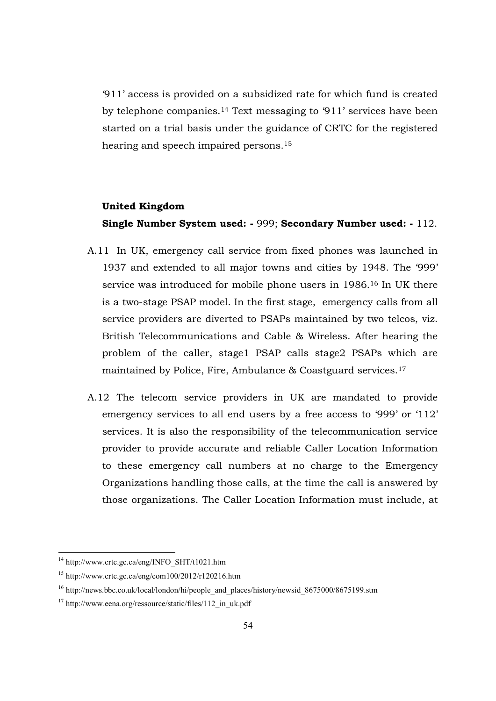'911' access is provided on a subsidized rate for which fund is created by telephone companies.14 Text messaging to '911' services have been started on a trial basis under the guidance of CRTC for the registered hearing and speech impaired persons.<sup>15</sup>

## **United Kingdom**

### **Single Number System used: -** 999; **Secondary Number used: -** 112.

- A.11 In UK, emergency call service from fixed phones was launched in 1937 and extended to all major towns and cities by 1948. The '999' service was introduced for mobile phone users in 1986.<sup>16</sup> In UK there is a two-stage PSAP model. In the first stage, emergency calls from all service providers are diverted to PSAPs maintained by two telcos, viz. British Telecommunications and Cable & Wireless. After hearing the problem of the caller, stage1 PSAP calls stage2 PSAPs which are maintained by Police, Fire, Ambulance & Coastguard services.<sup>17</sup>
- A.12 The telecom service providers in UK are mandated to provide emergency services to all end users by a free access to '999' or '112' services. It is also the responsibility of the telecommunication service provider to provide accurate and reliable Caller Location Information to these emergency call numbers at no charge to the Emergency Organizations handling those calls, at the time the call is answered by those organizations. The Caller Location Information must include, at

<sup>&</sup>lt;sup>14</sup> http://www.crtc.gc.ca/eng/INFO\_SHT/t1021.htm

 $15$  http://www.crtc.gc.ca/eng/com100/2012/r120216.htm

<sup>&</sup>lt;sup>16</sup> http://news.bbc.co.uk/local/london/hi/people and places/history/newsid 8675000/8675199.stm

<sup>&</sup>lt;sup>17</sup> http://www.eena.org/ressource/static/files/112 in uk.pdf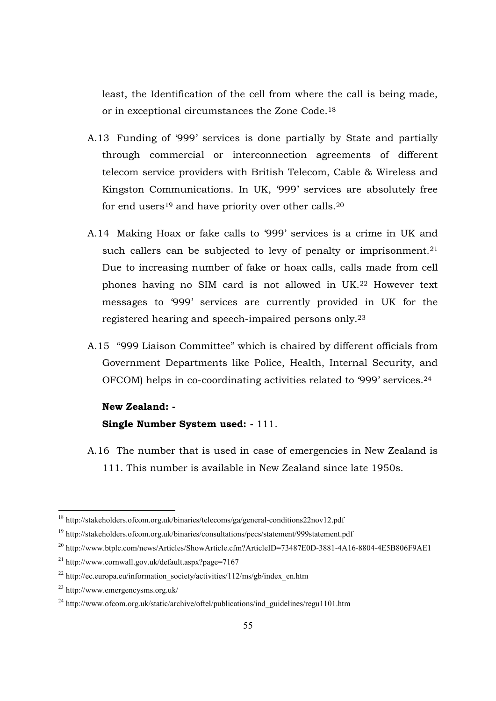least, the Identification of the cell from where the call is being made, or in exceptional circumstances the Zone Code.<sup>18</sup>

- A.13 Funding of '999' services is done partially by State and partially through commercial or interconnection agreements of different telecom service providers with British Telecom, Cable & Wireless and Kingston Communications. In UK, '999' services are absolutely free for end users<sup>19</sup> and have priority over other calls.<sup>20</sup>
- A.14 Making Hoax or fake calls to '999' services is a crime in UK and such callers can be subjected to levy of penalty or imprisonment.<sup>21</sup> Due to increasing number of fake or hoax calls, calls made from cell phones having no SIM card is not allowed in UK.22 However text messages to '999' services are currently provided in UK for the registered hearing and speech-impaired persons only. 23
- A.15 "999 Liaison Committee" which is chaired by different officials from Government Departments like Police, Health, Internal Security, and OFCOM) helps in co-coordinating activities related to '999' services.<sup>24</sup>

#### **New Zealand: -**

## **Single Number System used: -** 111.

A.16 The number that is used in case of emergencies in New Zealand is 111. This number is available in New Zealand since late 1950s.

<sup>&</sup>lt;sup>18</sup> http://stakeholders.ofcom.org.uk/binaries/telecoms/ga/general-conditions22nov12.pdf

<sup>19</sup> http://stakeholders.ofcom.org.uk/binaries/consultations/pecs/statement/999statement.pdf

<sup>&</sup>lt;sup>20</sup> http://www.btplc.com/news/Articles/ShowArticle.cfm?ArticleID=73487E0D-3881-4A16-8804-4E5B806F9AE1

<sup>21</sup> http://www.cornwall.gov.uk/default.aspx?page=7167

 $22$  http://ec.europa.eu/information\_society/activities/112/ms/gb/index\_en.htm

<sup>23</sup> http://www.emergencysms.org.uk/

<sup>&</sup>lt;sup>24</sup> http://www.ofcom.org.uk/static/archive/oftel/publications/ind\_guidelines/regu1101.htm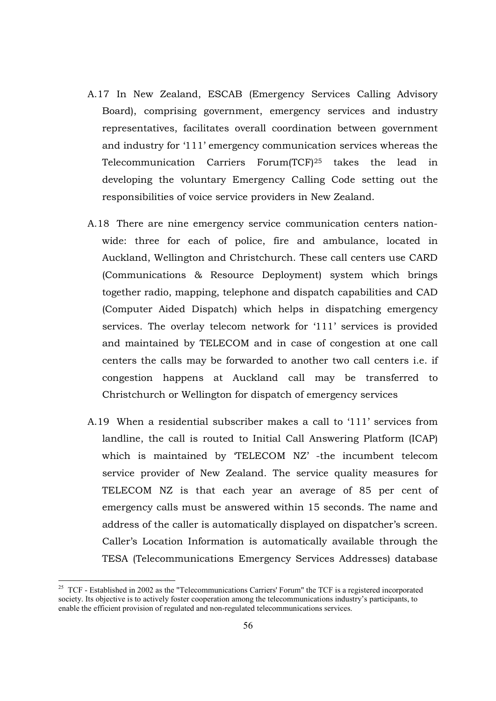- A.17 In New Zealand, ESCAB (Emergency Services Calling Advisory Board), comprising government, emergency services and industry representatives, facilitates overall coordination between government and industry for '111' emergency communication services whereas the Telecommunication Carriers Forum(TCF)25 takes the lead in developing the voluntary Emergency Calling Code setting out the responsibilities of voice service providers in New Zealand.
- A.18 There are nine emergency service communication centers nationwide: three for each of police, fire and ambulance, located in Auckland, Wellington and Christchurch. These call centers use CARD (Communications & Resource Deployment) system which brings together radio, mapping, telephone and dispatch capabilities and CAD (Computer Aided Dispatch) which helps in dispatching emergency services. The overlay telecom network for '111' services is provided and maintained by TELECOM and in case of congestion at one call centers the calls may be forwarded to another two call centers i.e. if congestion happens at Auckland call may be transferred to Christchurch or Wellington for dispatch of emergency services
- A.19 When a residential subscriber makes a call to '111' services from landline, the call is routed to Initial Call Answering Platform (ICAP) which is maintained by 'TELECOM NZ' -the incumbent telecom service provider of New Zealand. The service quality measures for TELECOM NZ is that each year an average of 85 per cent of emergency calls must be answered within 15 seconds. The name and address of the caller is automatically displayed on dispatcher's screen. Caller's Location Information is automatically available through the TESA (Telecommunications Emergency Services Addresses) database

<sup>&</sup>lt;sup>25</sup> TCF - Established in 2002 as the "Telecommunications Carriers' Forum" the TCF is a registered incorporated society. Its objective is to actively foster cooperation among the telecommunications industry's participants, to enable the efficient provision of regulated and non-regulated telecommunications services.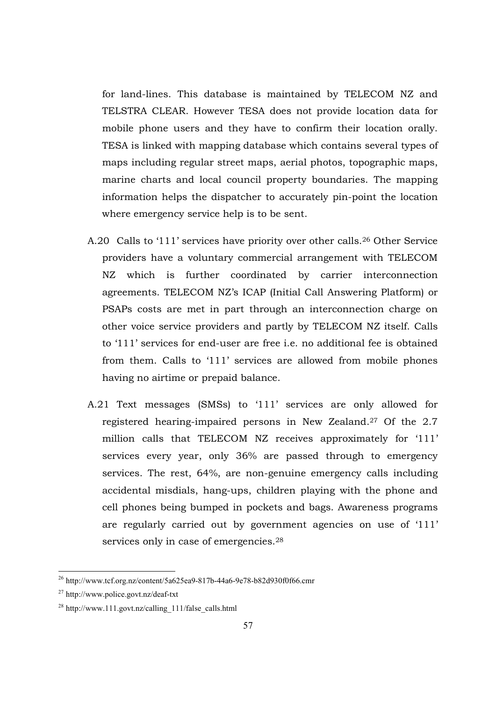for land-lines. This database is maintained by TELECOM NZ and TELSTRA CLEAR. However TESA does not provide location data for mobile phone users and they have to confirm their location orally. TESA is linked with mapping database which contains several types of maps including regular street maps, aerial photos, topographic maps, marine charts and local council property boundaries. The mapping information helps the dispatcher to accurately pin-point the location where emergency service help is to be sent.

- A.20 Calls to '111' services have priority over other calls.26 Other Service providers have a voluntary commercial arrangement with TELECOM NZ which is further coordinated by carrier interconnection agreements. TELECOM NZ's ICAP (Initial Call Answering Platform) or PSAPs costs are met in part through an interconnection charge on other voice service providers and partly by TELECOM NZ itself. Calls to '111' services for end-user are free i.e. no additional fee is obtained from them. Calls to '111' services are allowed from mobile phones having no airtime or prepaid balance.
- A.21 Text messages (SMSs) to '111' services are only allowed for registered hearing-impaired persons in New Zealand.27 Of the 2.7 million calls that TELECOM NZ receives approximately for '111' services every year, only 36% are passed through to emergency services. The rest, 64%, are non-genuine emergency calls including accidental misdials, hang-ups, children playing with the phone and cell phones being bumped in pockets and bags. Awareness programs are regularly carried out by government agencies on use of '111' services only in case of emergencies.<sup>28</sup>

 $^{26}$  http://www.tcf.org.nz/content/5a625ea9-817b-44a6-9e78-b82d930f0f66.cmr

<sup>27</sup> http://www.police.govt.nz/deaf-txt

 $^{28}$  http://www.111.govt.nz/calling 111/false calls.html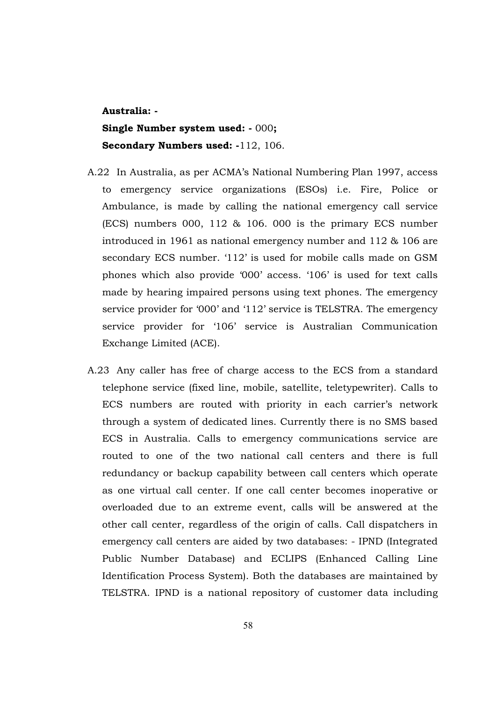**Australia: - Single Number system used: -** 000**; Secondary Numbers used: -**112, 106.

- A.22 In Australia, as per ACMA's National Numbering Plan 1997, access to emergency service organizations (ESOs) i.e. Fire, Police or Ambulance, is made by calling the national emergency call service (ECS) numbers 000, 112 & 106. 000 is the primary ECS number introduced in 1961 as national emergency number and 112 & 106 are secondary ECS number. '112' is used for mobile calls made on GSM phones which also provide '000' access. '106' is used for text calls made by hearing impaired persons using text phones. The emergency service provider for '000' and '112' service is TELSTRA. The emergency service provider for '106' service is Australian Communication Exchange Limited (ACE).
- A.23 Any caller has free of charge access to the ECS from a standard telephone service (fixed line, mobile, satellite, teletypewriter). Calls to ECS numbers are routed with priority in each carrier's network through a system of dedicated lines. Currently there is no SMS based ECS in Australia. Calls to emergency communications service are routed to one of the two national call centers and there is full redundancy or backup capability between call centers which operate as one virtual call center. If one call center becomes inoperative or overloaded due to an extreme event, calls will be answered at the other call center, regardless of the origin of calls. Call dispatchers in emergency call centers are aided by two databases: - IPND (Integrated Public Number Database) and ECLIPS (Enhanced Calling Line Identification Process System). Both the databases are maintained by TELSTRA. IPND is a national repository of customer data including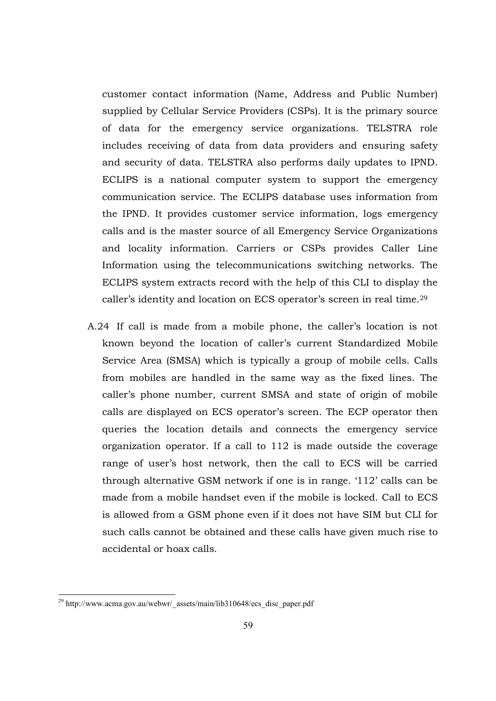customer contact information (Name, Address and Public Number) supplied by Cellular Service Providers (CSPs). It is the primary source of data for the emergency service organizations. TELSTRA role includes receiving of data from data providers and ensuring safety and security of data. TELSTRA also performs daily updates to IPND. ECLIPS is a national computer system to support the emergency communication service. The ECLIPS database uses information from the IPND. It provides customer service information, logs emergency calls and is the master source of all Emergency Service Organizations and locality information. Carriers or CSPs provides Caller Line Information using the telecommunications switching networks. The ECLIPS system extracts record with the help of this CLI to display the caller's identity and location on ECS operator's screen in real time.<sup>29</sup>

A.24 If call is made from a mobile phone, the caller's location is not known beyond the location of caller's current Standardized Mobile Service Area (SMSA) which is typically a group of mobile cells. Calls from mobiles are handled in the same way as the fixed lines. The caller's phone number, current SMSA and state of origin of mobile calls are displayed on ECS operator's screen. The ECP operator then queries the location details and connects the emergency service organization operator. If a call to 112 is made outside the coverage range of user's host network, then the call to ECS will be carried through alternative GSM network if one is in range. '112' calls can be made from a mobile handset even if the mobile is locked. Call to ECS is allowed from a GSM phone even if it does not have SIM but CLI for such calls cannot be obtained and these calls have given much rise to accidental or hoax calls.

<sup>&</sup>lt;sup>29</sup> http://www.acma.gov.au/webwr/\_assets/main/lib310648/ecs\_disc\_paper.pdf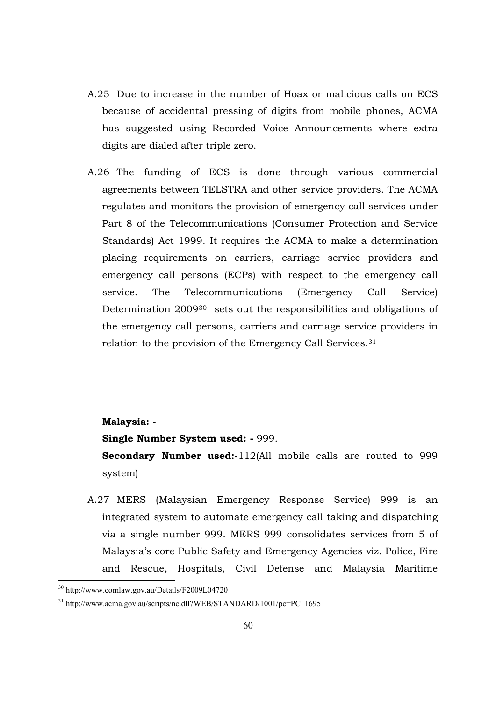- A.25 Due to increase in the number of Hoax or malicious calls on ECS because of accidental pressing of digits from mobile phones, ACMA has suggested using Recorded Voice Announcements where extra digits are dialed after triple zero.
- A.26 The funding of ECS is done through various commercial agreements between TELSTRA and other service providers. The ACMA regulates and monitors the provision of emergency call services under Part 8 of the Telecommunications (Consumer Protection and Service Standards) Act 1999. It requires the ACMA to make a determination placing requirements on carriers, carriage service providers and emergency call persons (ECPs) with respect to the emergency call service. The Telecommunications (Emergency Call Service) Determination 2009<sup>30</sup> sets out the responsibilities and obligations of the emergency call persons, carriers and carriage service providers in relation to the provision of the Emergency Call Services.<sup>31</sup>

#### **Malaysia: -**

**Single Number System used: -** 999.

**Secondary Number used:-**112(All mobile calls are routed to 999 system)

A.27 MERS (Malaysian Emergency Response Service) 999 is an integrated system to automate emergency call taking and dispatching via a single number 999. MERS 999 consolidates services from 5 of Malaysia's core Public Safety and Emergency Agencies viz. Police, Fire and Rescue, Hospitals, Civil Defense and Malaysia Maritime

<sup>-</sup><sup>30</sup> http://www.comlaw.gov.au/Details/F2009L04720

<sup>&</sup>lt;sup>31</sup> http://www.acma.gov.au/scripts/nc.dll?WEB/STANDARD/1001/pc=PC\_1695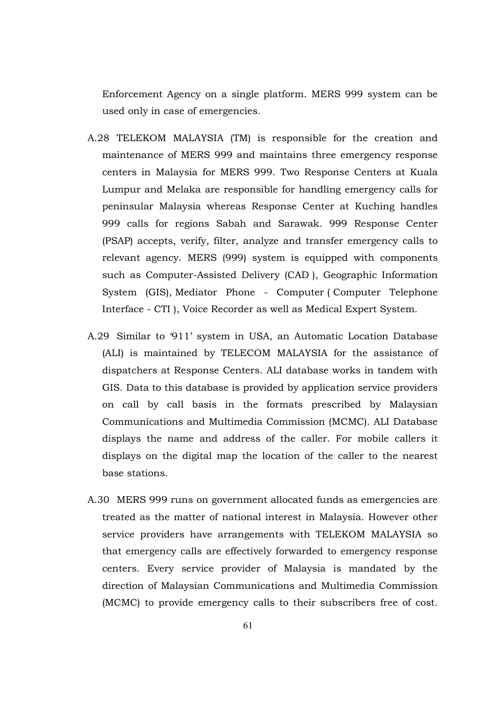Enforcement Agency on a single platform. MERS 999 system can be used only in case of emergencies.

- A.28 TELEKOM MALAYSIA (TM) is responsible for the creation and maintenance of MERS 999 and maintains three emergency response centers in Malaysia for MERS 999. Two Response Centers at Kuala Lumpur and Melaka are responsible for handling emergency calls for peninsular Malaysia whereas Response Center at Kuching handles 999 calls for regions Sabah and Sarawak. 999 Response Center (PSAP) accepts, verify, filter, analyze and transfer emergency calls to relevant agency. MERS (999) system is equipped with components such as Computer-Assisted Delivery (CAD ), Geographic Information System (GIS), Mediator Phone - Computer ( Computer Telephone Interface - CTI ), Voice Recorder as well as Medical Expert System.
- A.29 Similar to '911' system in USA, an Automatic Location Database (ALI) is maintained by TELECOM MALAYSIA for the assistance of dispatchers at Response Centers. ALI database works in tandem with GIS. Data to this database is provided by application service providers on call by call basis in the formats prescribed by Malaysian Communications and Multimedia Commission (MCMC). ALI Database displays the name and address of the caller. For mobile callers it displays on the digital map the location of the caller to the nearest base stations.
- A.30 MERS 999 runs on government allocated funds as emergencies are treated as the matter of national interest in Malaysia. However other service providers have arrangements with TELEKOM MALAYSIA so that emergency calls are effectively forwarded to emergency response centers. Every service provider of Malaysia is mandated by the direction of Malaysian Communications and Multimedia Commission (MCMC) to provide emergency calls to their subscribers free of cost.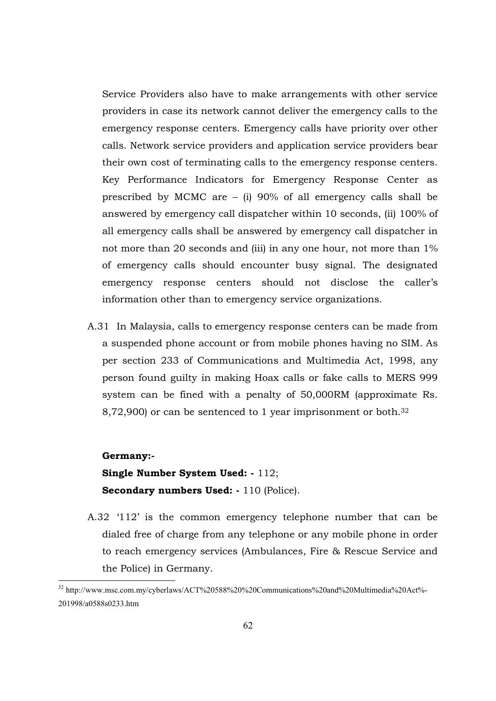Service Providers also have to make arrangements with other service providers in case its network cannot deliver the emergency calls to the emergency response centers. Emergency calls have priority over other calls. Network service providers and application service providers bear their own cost of terminating calls to the emergency response centers. Key Performance Indicators for Emergency Response Center as prescribed by MCMC are – (i) 90% of all emergency calls shall be answered by emergency call dispatcher within 10 seconds, (ii) 100% of all emergency calls shall be answered by emergency call dispatcher in not more than 20 seconds and (iii) in any one hour, not more than 1% of emergency calls should encounter busy signal. The designated emergency response centers should not disclose the caller's information other than to emergency service organizations.

A.31 In Malaysia, calls to emergency response centers can be made from a suspended phone account or from mobile phones having no SIM. As per section 233 of Communications and Multimedia Act, 1998, any person found guilty in making Hoax calls or fake calls to MERS 999 system can be fined with a penalty of 50,000RM (approximate Rs. 8,72,900) or can be sentenced to 1 year imprisonment or both.<sup>32</sup>

#### **Germany:-**

-

**Single Number System Used: -** 112; **Secondary numbers Used: -** 110 (Police).

A.32 '112' is the common emergency telephone number that can be dialed free of charge from any telephone or any mobile phone in order to reach emergency services (Ambulances, Fire & Rescue Service and the Police) in Germany.

<sup>&</sup>lt;sup>32</sup> http://www.msc.com.my/cyberlaws/ACT%20588%20%20Communications%20and%20Multimedia%20Act%-201998/a0588s0233.htm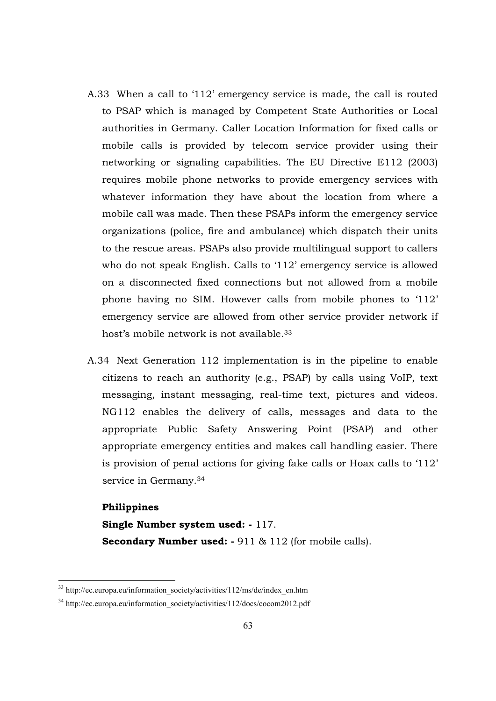- A.33 When a call to '112' emergency service is made, the call is routed to PSAP which is managed by Competent State Authorities or Local authorities in Germany. Caller Location Information for fixed calls or mobile calls is provided by telecom service provider using their networking or signaling capabilities. The EU Directive E112 (2003) requires mobile phone networks to provide emergency services with whatever information they have about the location from where a mobile call was made. Then these PSAPs inform the emergency service organizations (police, fire and ambulance) which dispatch their units to the rescue areas. PSAPs also provide multilingual support to callers who do not speak English. Calls to '112' emergency service is allowed on a disconnected fixed connections but not allowed from a mobile phone having no SIM. However calls from mobile phones to '112' emergency service are allowed from other service provider network if host's mobile network is not available.<sup>33</sup>
- A.34 Next Generation 112 implementation is in the pipeline to enable citizens to reach an authority (e.g., PSAP) by calls using VoIP, text messaging, instant messaging, real-time text, pictures and videos. NG112 enables the delivery of calls, messages and data to the appropriate Public Safety Answering Point (PSAP) and other appropriate emergency entities and makes call handling easier. There is provision of penal actions for giving fake calls or Hoax calls to '112' service in Germany.<sup>34</sup>

#### **Philippines**

-

**Single Number system used: -** 117. **Secondary Number used: -** 911 & 112 (for mobile calls).

<sup>&</sup>lt;sup>33</sup> http://ec.europa.eu/information\_society/activities/112/ms/de/index\_en.htm

<sup>&</sup>lt;sup>34</sup> http://ec.europa.eu/information\_society/activities/112/docs/cocom2012.pdf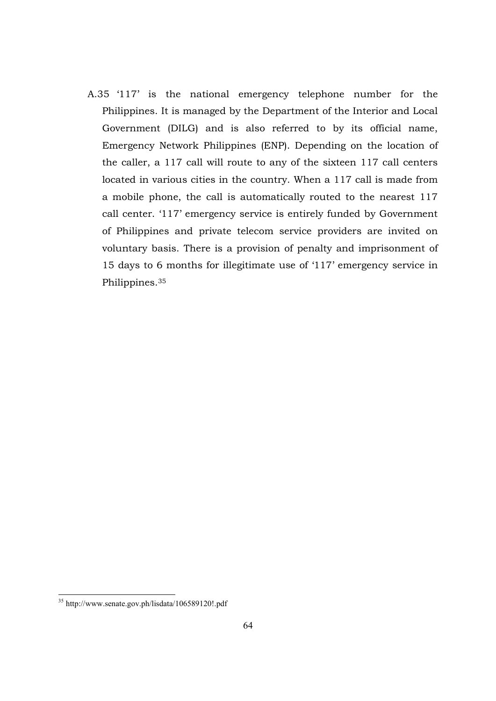A.35 '117' is the national emergency telephone number for the Philippines. It is managed by the Department of the Interior and Local Government (DILG) and is also referred to by its official name, Emergency Network Philippines (ENP). Depending on the location of the caller, a 117 call will route to any of the sixteen 117 call centers located in various cities in the country. When a 117 call is made from a mobile phone, the call is automatically routed to the nearest 117 call center. '117' emergency service is entirely funded by Government of Philippines and private telecom service providers are invited on voluntary basis. There is a provision of penalty and imprisonment of 15 days to 6 months for illegitimate use of '117' emergency service in Philippines.<sup>35</sup>

<sup>35</sup> http://www.senate.gov.ph/lisdata/106589120!.pdf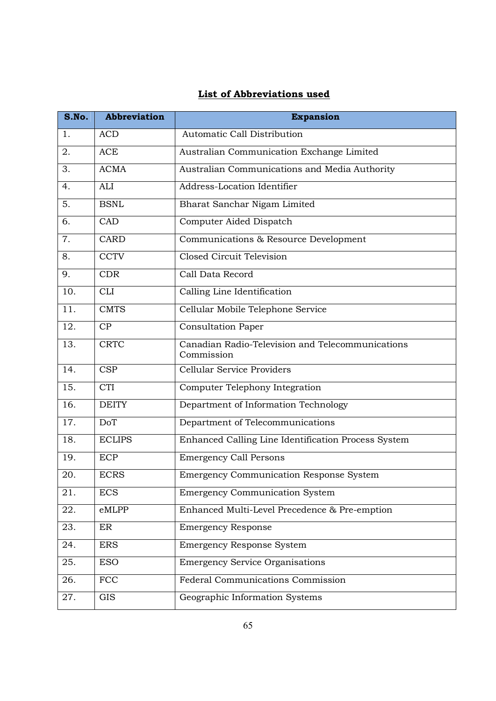## **List of Abbreviations used**

| S.No.             | <b>Abbreviation</b> | <b>Expansion</b>                                               |
|-------------------|---------------------|----------------------------------------------------------------|
| 1.                | <b>ACD</b>          | Automatic Call Distribution                                    |
| 2.                | ACE                 | Australian Communication Exchange Limited                      |
| 3.                | <b>ACMA</b>         | Australian Communications and Media Authority                  |
| 4.                | ALI                 | Address-Location Identifier                                    |
| 5.                | <b>BSNL</b>         | Bharat Sanchar Nigam Limited                                   |
| 6.                | CAD                 | Computer Aided Dispatch                                        |
| 7.                | <b>CARD</b>         | Communications & Resource Development                          |
| 8.                | <b>CCTV</b>         | Closed Circuit Television                                      |
| 9.                | <b>CDR</b>          | Call Data Record                                               |
| 10.               | <b>CLI</b>          | Calling Line Identification                                    |
| 11.               | <b>CMTS</b>         | Cellular Mobile Telephone Service                              |
| 12.               | CP                  | <b>Consultation Paper</b>                                      |
| 13.               | <b>CRTC</b>         | Canadian Radio-Television and Telecommunications<br>Commission |
| 14.               | <b>CSP</b>          | Cellular Service Providers                                     |
| $\overline{15}$ . | <b>CTI</b>          | Computer Telephony Integration                                 |
| 16.               | <b>DEITY</b>        | Department of Information Technology                           |
| $\overline{17}$ . | <b>DoT</b>          | Department of Telecommunications                               |
| 18.               | <b>ECLIPS</b>       | Enhanced Calling Line Identification Process System            |
| 19.               | <b>ECP</b>          | <b>Emergency Call Persons</b>                                  |
| 20.               | <b>ECRS</b>         | Emergency Communication Response System                        |
| 21.               | <b>ECS</b>          | <b>Emergency Communication System</b>                          |
| 22.               | eMLPP               | Enhanced Multi-Level Precedence & Pre-emption                  |
| 23.               | ER                  | <b>Emergency Response</b>                                      |
| 24.               | <b>ERS</b>          | <b>Emergency Response System</b>                               |
| $\overline{25}$ . | <b>ESO</b>          | <b>Emergency Service Organisations</b>                         |
| 26.               | <b>FCC</b>          | <b>Federal Communications Commission</b>                       |
| 27.               | <b>GIS</b>          | Geographic Information Systems                                 |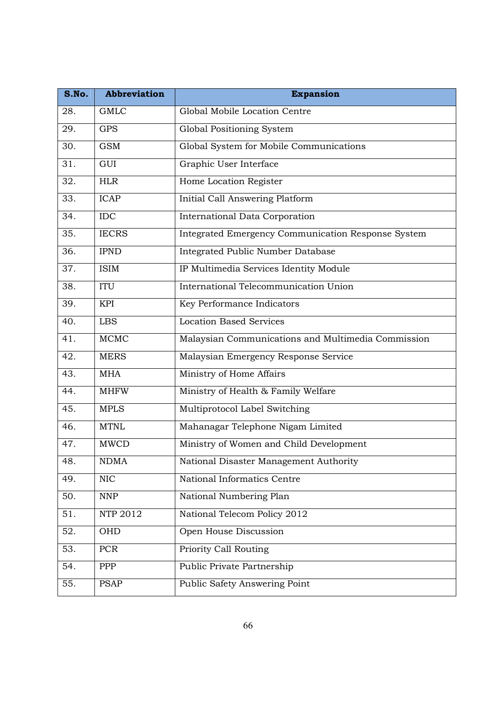| S.No. | <b>Abbreviation</b> | <b>Expansion</b>                                   |
|-------|---------------------|----------------------------------------------------|
| 28.   | <b>GMLC</b>         | Global Mobile Location Centre                      |
| 29.   | <b>GPS</b>          | Global Positioning System                          |
| 30.   | <b>GSM</b>          | Global System for Mobile Communications            |
| 31.   | GUI                 | Graphic User Interface                             |
| 32.   | <b>HLR</b>          | Home Location Register                             |
| 33.   | <b>ICAP</b>         | Initial Call Answering Platform                    |
| 34.   | <b>IDC</b>          | International Data Corporation                     |
| 35.   | <b>IECRS</b>        | Integrated Emergency Communication Response System |
| 36.   | <b>IPND</b>         | Integrated Public Number Database                  |
| 37.   | <b>ISIM</b>         | IP Multimedia Services Identity Module             |
| 38.   | <b>ITU</b>          | International Telecommunication Union              |
| 39.   | KPI                 | Key Performance Indicators                         |
| 40.   | <b>LBS</b>          | <b>Location Based Services</b>                     |
| 41.   | <b>MCMC</b>         | Malaysian Communications and Multimedia Commission |
| 42.   | <b>MERS</b>         | Malaysian Emergency Response Service               |
| 43.   | <b>MHA</b>          | Ministry of Home Affairs                           |
| 44.   | <b>MHFW</b>         | Ministry of Health & Family Welfare                |
| 45.   | <b>MPLS</b>         | Multiprotocol Label Switching                      |
| 46.   | <b>MTNL</b>         | Mahanagar Telephone Nigam Limited                  |
| 47.   | <b>MWCD</b>         | Ministry of Women and Child Development            |
| 48.   | <b>NDMA</b>         | National Disaster Management Authority             |
| 49.   | <b>NIC</b>          | National Informatics Centre                        |
| 50.   | <b>NNP</b>          | National Numbering Plan                            |
| 51.   | NTP 2012            | National Telecom Policy 2012                       |
| 52.   | OHD                 | Open House Discussion                              |
| 53.   | PCR                 | Priority Call Routing                              |
| 54.   | <b>PPP</b>          | Public Private Partnership                         |
| 55.   | <b>PSAP</b>         | Public Safety Answering Point                      |